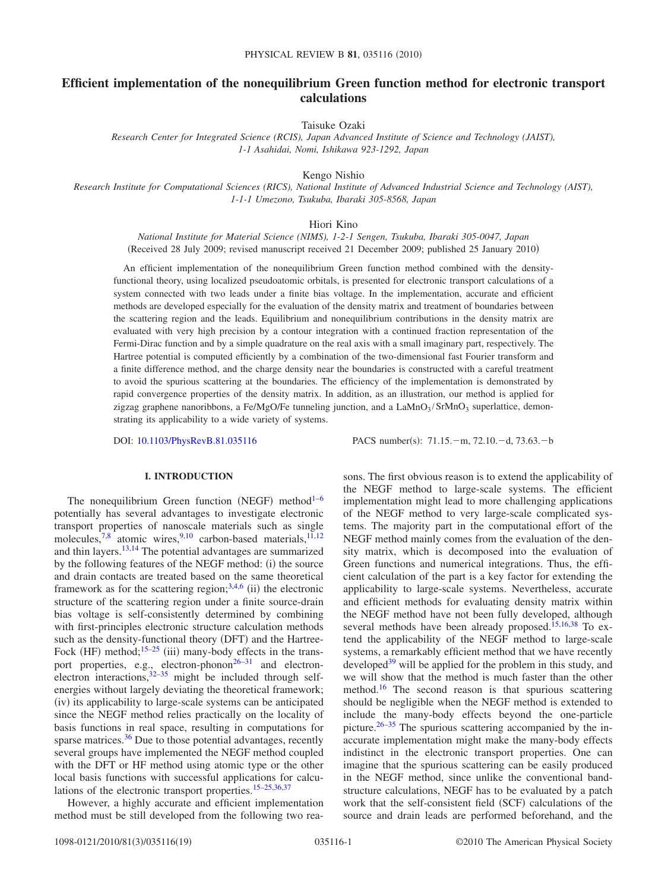# **Efficient implementation of the nonequilibrium Green function method for electronic transport calculations**

Taisuke Ozaki

*Research Center for Integrated Science (RCIS), Japan Advanced Institute of Science and Technology (JAIST), 1-1 Asahidai, Nomi, Ishikawa 923-1292, Japan*

Kengo Nishio

*Research Institute for Computational Sciences (RICS), National Institute of Advanced Industrial Science and Technology (AIST), 1-1-1 Umezono, Tsukuba, Ibaraki 305-8568, Japan*

Hiori Kino

*National Institute for Material Science (NIMS), 1-2-1 Sengen, Tsukuba, Ibaraki 305-0047, Japan* (Received 28 July 2009; revised manuscript received 21 December 2009; published 25 January 2010)

An efficient implementation of the nonequilibrium Green function method combined with the densityfunctional theory, using localized pseudoatomic orbitals, is presented for electronic transport calculations of a system connected with two leads under a finite bias voltage. In the implementation, accurate and efficient methods are developed especially for the evaluation of the density matrix and treatment of boundaries between the scattering region and the leads. Equilibrium and nonequilibrium contributions in the density matrix are evaluated with very high precision by a contour integration with a continued fraction representation of the Fermi-Dirac function and by a simple quadrature on the real axis with a small imaginary part, respectively. The Hartree potential is computed efficiently by a combination of the two-dimensional fast Fourier transform and a finite difference method, and the charge density near the boundaries is constructed with a careful treatment to avoid the spurious scattering at the boundaries. The efficiency of the implementation is demonstrated by rapid convergence properties of the density matrix. In addition, as an illustration, our method is applied for zigzag graphene nanoribbons, a Fe/MgO/Fe tunneling junction, and a LaMnO3/SrMnO3 superlattice, demonstrating its applicability to a wide variety of systems.

DOI: [10.1103/PhysRevB.81.035116](http://dx.doi.org/10.1103/PhysRevB.81.035116)

PACS number(s):  $71.15.-m$ ,  $72.10.-d$ ,  $73.63.-b$ 

### **I. INTRODUCTION**

The nonequilibrium Green function (NEGF) method $1-6$  $1-6$ potentially has several advantages to investigate electronic transport properties of nanoscale materials such as single molecules,<sup>7,[8](#page-16-3)</sup> atomic wires,<sup>9[,10](#page-16-5)</sup> carbon-based materials, $11,12$  $11,12$ and thin layers. $13,14$  $13,14$  The potential advantages are summarized by the following features of the NEGF method: (i) the source and drain contacts are treated based on the same theoretical framework as for the scattering region; $3,4,6$  $3,4,6$  $3,4,6$  (ii) the electronic structure of the scattering region under a finite source-drain bias voltage is self-consistently determined by combining with first-principles electronic structure calculation methods such as the density-functional theory (DFT) and the Hartree-Fock (HF) method;<sup>15–[25](#page-17-1)</sup> (iii) many-body effects in the trans-port properties, e.g., electron-phonon<sup>26[–31](#page-17-3)</sup> and electronelectron interactions,  $32-35$  might be included through selfenergies without largely deviating the theoretical framework; (iv) its applicability to large-scale systems can be anticipated since the NEGF method relies practically on the locality of basis functions in real space, resulting in computations for sparse matrices.<sup>36</sup> Due to those potential advantages, recently several groups have implemented the NEGF method coupled with the DFT or HF method using atomic type or the other local basis functions with successful applications for calculations of the electronic transport properties[.15](#page-17-0)[–25,](#page-17-1)[36,](#page-17-6)[37](#page-17-7)

However, a highly accurate and efficient implementation method must be still developed from the following two reasons. The first obvious reason is to extend the applicability of the NEGF method to large-scale systems. The efficient implementation might lead to more challenging applications of the NEGF method to very large-scale complicated systems. The majority part in the computational effort of the NEGF method mainly comes from the evaluation of the density matrix, which is decomposed into the evaluation of Green functions and numerical integrations. Thus, the efficient calculation of the part is a key factor for extending the applicability to large-scale systems. Nevertheless, accurate and efficient methods for evaluating density matrix within the NEGF method have not been fully developed, although several methods have been already proposed.<sup>15[,16](#page-17-8)[,38](#page-17-9)</sup> To extend the applicability of the NEGF method to large-scale systems, a remarkably efficient method that we have recently developed $39$  will be applied for the problem in this study, and we will show that the method is much faster than the other method.<sup>16</sup> The second reason is that spurious scattering should be negligible when the NEGF method is extended to include the many-body effects beyond the one-particle picture.<sup>26[–35](#page-17-5)</sup> The spurious scattering accompanied by the inaccurate implementation might make the many-body effects indistinct in the electronic transport properties. One can imagine that the spurious scattering can be easily produced in the NEGF method, since unlike the conventional bandstructure calculations, NEGF has to be evaluated by a patch work that the self-consistent field (SCF) calculations of the source and drain leads are performed beforehand, and the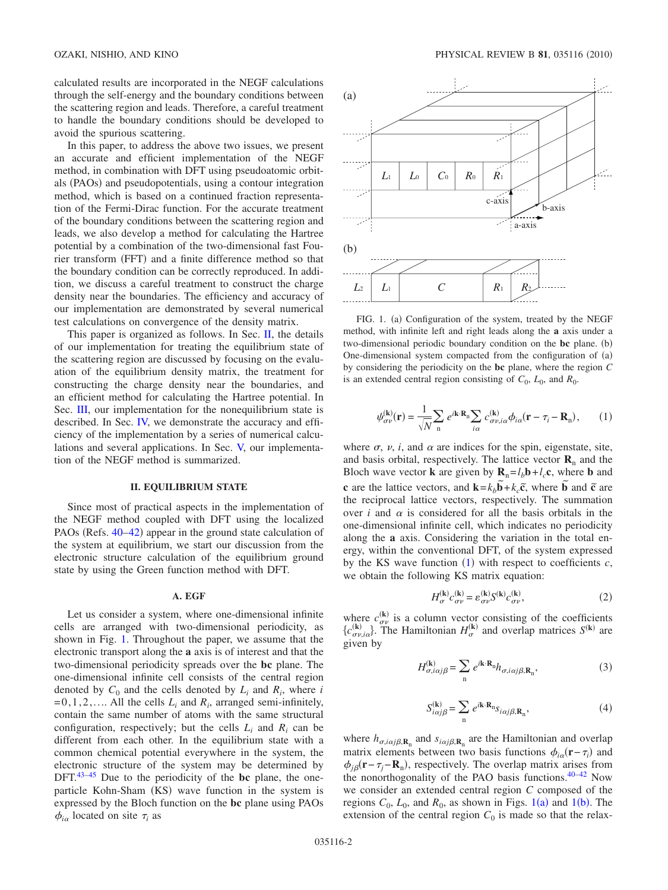calculated results are incorporated in the NEGF calculations through the self-energy and the boundary conditions between the scattering region and leads. Therefore, a careful treatment to handle the boundary conditions should be developed to avoid the spurious scattering.

In this paper, to address the above two issues, we present an accurate and efficient implementation of the NEGF method, in combination with DFT using pseudoatomic orbitals (PAOs) and pseudopotentials, using a contour integration method, which is based on a continued fraction representation of the Fermi-Dirac function. For the accurate treatment of the boundary conditions between the scattering region and leads, we also develop a method for calculating the Hartree potential by a combination of the two-dimensional fast Fourier transform (FFT) and a finite difference method so that the boundary condition can be correctly reproduced. In addition, we discuss a careful treatment to construct the charge density near the boundaries. The efficiency and accuracy of our implementation are demonstrated by several numerical test calculations on convergence of the density matrix.

This paper is organized as follows. In Sec.  $II$ , the details of our implementation for treating the equilibrium state of the scattering region are discussed by focusing on the evaluation of the equilibrium density matrix, the treatment for constructing the charge density near the boundaries, and an efficient method for calculating the Hartree potential. In Sec. [III,](#page-6-0) our implementation for the nonequilibrium state is described. In Sec. [IV,](#page-7-0) we demonstrate the accuracy and efficiency of the implementation by a series of numerical calculations and several applications. In Sec. [V,](#page-14-0) our implementation of the NEGF method is summarized.

## **II. EQUILIBRIUM STATE**

<span id="page-1-0"></span>Since most of practical aspects in the implementation of the NEGF method coupled with DFT using the localized PAOs (Refs. [40–](#page-17-11)[42](#page-17-12)) appear in the ground state calculation of the system at equilibrium, we start our discussion from the electronic structure calculation of the equilibrium ground state by using the Green function method with DFT.

## **A. EGF**

Let us consider a system, where one-dimensional infinite cells are arranged with two-dimensional periodicity, as shown in Fig. [1.](#page-1-1) Throughout the paper, we assume that the electronic transport along the **a** axis is of interest and that the two-dimensional periodicity spreads over the **bc** plane. The one-dimensional infinite cell consists of the central region denoted by  $C_0$  and the cells denoted by  $L_i$  and  $R_i$ , where *i*  $= 0, 1, 2, \ldots$  All the cells  $L_i$  and  $R_i$ , arranged semi-infinitely, contain the same number of atoms with the same structural configuration, respectively; but the cells  $L_i$  and  $R_i$  can be different from each other. In the equilibrium state with a common chemical potential everywhere in the system, the electronic structure of the system may be determined by DFT.<sup>[43–](#page-17-13)[45](#page-17-14)</sup> Due to the periodicity of the **bc** plane, the oneparticle Kohn-Sham (KS) wave function in the system is expressed by the Bloch function on the **bc** plane using PAOs  $\phi_{i\alpha}$  located on site  $\tau_i$  as

<span id="page-1-1"></span>

FIG. 1. (a) Configuration of the system, treated by the NEGF method, with infinite left and right leads along the **a** axis under a two-dimensional periodic boundary condition on the **bc** plane. (b) One-dimensional system compacted from the configuration of (a) by considering the periodicity on the **bc** plane, where the region *C* is an extended central region consisting of  $C_0$ ,  $L_0$ , and  $R_0$ .

<span id="page-1-2"></span>
$$
\psi_{\sigma\nu}^{(k)}(\mathbf{r}) = \frac{1}{\sqrt{N}} \sum_{n} e^{i\mathbf{k} \cdot \mathbf{R}_{n}} \sum_{i\alpha} c_{\sigma\nu,i\alpha}^{(k)} \phi_{i\alpha}(\mathbf{r} - \tau_{i} - \mathbf{R}_{n}), \qquad (1)
$$

where  $\sigma$ ,  $\nu$ , *i*, and  $\alpha$  are indices for the spin, eigenstate, site, and basis orbital, respectively. The lattice vector  $\mathbf{R}_n$  and the Bloch wave vector **k** are given by  $\mathbf{R}_n = l_b \mathbf{b} + l_c \mathbf{c}$ , where **b** and **c** are the lattice vectors, and  $\mathbf{k} = k_b \tilde{\mathbf{b}} + k_c \tilde{\mathbf{c}}$ , where  $\tilde{\mathbf{b}}$  and  $\tilde{\mathbf{c}}$  are the reciprocal lattice vectors, respectively. The summation over *i* and  $\alpha$  is considered for all the basis orbitals in the one-dimensional infinite cell, which indicates no periodicity along the **a** axis. Considering the variation in the total energy, within the conventional DFT, of the system expressed by the KS wave function  $(1)$  $(1)$  $(1)$  with respect to coefficients  $c$ , we obtain the following KS matrix equation:

$$
H_{\sigma}^{(\mathbf{k})}c_{\sigma\nu}^{(\mathbf{k})} = \varepsilon_{\sigma\nu}^{(\mathbf{k})}S^{(\mathbf{k})}c_{\sigma\nu}^{(\mathbf{k})},\tag{2}
$$

<span id="page-1-4"></span><span id="page-1-3"></span>where  $c_{\sigma\nu}^{(k)}$  is a column vector consisting of the coefficients  ${c}^{(k)}_{\sigma\nu, i\alpha}$ . The Hamiltonian  $H_{\sigma}^{(k)}$  and overlap matrices  $S^{(k)}$  are given by

$$
H_{\sigma,i\alpha j\beta}^{(\mathbf{k})} = \sum_{\mathbf{n}} e^{i\mathbf{k}\cdot\mathbf{R}_{\mathbf{n}}} h_{\sigma,i\alpha j\beta,\mathbf{R}_{\mathbf{n}}},\tag{3}
$$

$$
S_{i\alpha j\beta}^{(\mathbf{k})} = \sum_{\mathbf{n}} e^{i\mathbf{k}\cdot\mathbf{R}_{\mathbf{n}}} S_{i\alpha j\beta,\mathbf{R}_{\mathbf{n}}},\tag{4}
$$

where  $h_{\sigma,i\alpha j\beta,\mathbf{R}_n}$  and  $s_{i\alpha j\beta,\mathbf{R}_n}$  are the Hamiltonian and overlap matrix elements between two basis functions  $\phi_{i\alpha}(\mathbf{r}-\tau_i)$  and  $\phi_{j\beta}(\mathbf{r}-\tau_j-\mathbf{R}_n)$ , respectively. The overlap matrix arises from the nonorthogonality of the PAO basis functions.<sup>40-[42](#page-17-12)</sup> Now we consider an extended central region *C* composed of the regions  $C_0$ ,  $L_0$ , and  $R_0$ , as shown in Figs.  $1(a)$  $1(a)$  and  $1(b)$ . The extension of the central region  $C_0$  is made so that the relax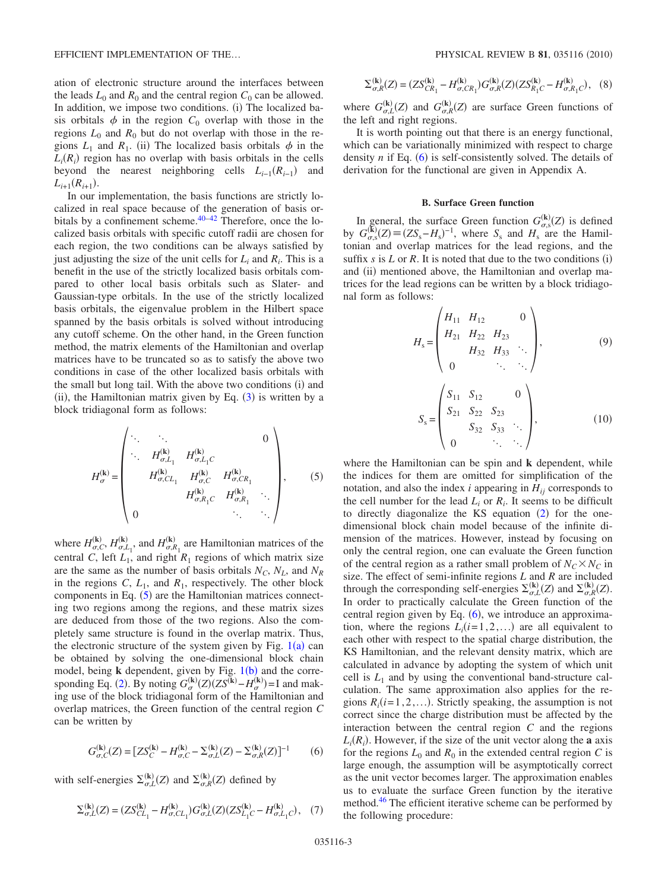ation of electronic structure around the interfaces between the leads  $L_0$  and  $R_0$  and the central region  $C_0$  can be allowed. In addition, we impose two conditions. (i) The localized basis orbitals  $\phi$  in the region  $C_0$  overlap with those in the regions  $L_0$  and  $R_0$  but do not overlap with those in the regions  $L_1$  and  $R_1$ . (ii) The localized basis orbitals  $\phi$  in the  $L_i(R_i)$  region has no overlap with basis orbitals in the cells beyond the nearest neighboring cells  $L_{i-1}(R_{i-1})$  and  $L_{i+1}(R_{i+1}).$ 

In our implementation, the basis functions are strictly localized in real space because of the generation of basis orbitals by a confinement scheme. $40-42$  Therefore, once the localized basis orbitals with specific cutoff radii are chosen for each region, the two conditions can be always satisfied by just adjusting the size of the unit cells for *Li* and *Ri* . This is a benefit in the use of the strictly localized basis orbitals compared to other local basis orbitals such as Slater- and Gaussian-type orbitals. In the use of the strictly localized basis orbitals, the eigenvalue problem in the Hilbert space spanned by the basis orbitals is solved without introducing any cutoff scheme. On the other hand, in the Green function method, the matrix elements of the Hamiltonian and overlap matrices have to be truncated so as to satisfy the above two conditions in case of the other localized basis orbitals with the small but long tail. With the above two conditions (i) and  $(ii)$ , the Hamiltonian matrix given by Eq.  $(3)$  $(3)$  $(3)$  is written by a block tridiagonal form as follows:

<span id="page-2-0"></span>
$$
H_{\sigma}^{(\mathbf{k})} = \begin{pmatrix} \ddots & \ddots & & & 0 \\ \ddots & H_{\sigma,L_1}^{(\mathbf{k})} & H_{\sigma,L_1}^{(\mathbf{k})} & & & \\ & H_{\sigma,CL_1}^{(\mathbf{k})} & H_{\sigma,C}^{(\mathbf{k})} & H_{\sigma,CR_1}^{(\mathbf{k})} & & \\ & & H_{\sigma,R_1C}^{(\mathbf{k})} & H_{\sigma,R_1}^{(\mathbf{k})} & \ddots & \\ & & & & \ddots & \ddots \end{pmatrix}, \qquad (5)
$$

where  $H_{\sigma,C}^{(k)}$ ,  $H_{\sigma,L_1}^{(k)}$ , and  $H_{\sigma,R_1}^{(k)}$  are Hamiltonian matrices of the central *C*, left  $L_1$ , and right  $R_1$  regions of which matrix size are the same as the number of basis orbitals  $N_C$ ,  $N_L$ , and  $N_R$ in the regions  $C$ ,  $L_1$ , and  $R_1$ , respectively. The other block components in Eq.  $(5)$  $(5)$  $(5)$  are the Hamiltonian matrices connecting two regions among the regions, and these matrix sizes are deduced from those of the two regions. Also the completely same structure is found in the overlap matrix. Thus, the electronic structure of the system given by Fig.  $1(a)$  $1(a)$  can be obtained by solving the one-dimensional block chain model, being  $\bf{k}$  dependent, given by Fig.  $1(b)$  $1(b)$  and the corre-sponding Eq. ([2](#page-1-4)). By noting  $G_{\sigma}^{(k)}(Z)(ZS^{(k)} - H_{\sigma}^{(k)}) = I$  and making use of the block tridiagonal form of the Hamiltonian and overlap matrices, the Green function of the central region *C* can be written by

$$
G_{\sigma,C}^{(k)}(Z) = [ZS_C^{(k)} - H_{\sigma,C}^{(k)} - \Sigma_{\sigma,L}^{(k)}(Z) - \Sigma_{\sigma,R}^{(k)}(Z)]^{-1}
$$
 (6)

<span id="page-2-1"></span>with self-energies  $\Sigma_{\sigma,L}^{(k)}(Z)$  and  $\Sigma_{\sigma,R}^{(k)}(Z)$  defined by

<span id="page-2-4"></span>
$$
\Sigma_{\sigma,L}^{(k)}(Z) = (ZS_{CL_1}^{(k)} - H_{\sigma,CL_1}^{(k)}) G_{\sigma,L}^{(k)}(Z) (ZS_{L_1C}^{(k)} - H_{\sigma,L_1C}^{(k)}), \quad (7)
$$

<span id="page-2-5"></span>
$$
\Sigma_{\sigma,R}^{(k)}(Z) = (ZS_{CR_1}^{(k)} - H_{\sigma,CR_1}^{(k)})G_{\sigma,R}^{(k)}(Z)(ZS_{R_1C}^{(k)} - H_{\sigma,R_1C}^{(k)}), (8)
$$

where  $G_{\sigma,L}^{(k)}(Z)$  and  $G_{\sigma,R}^{(k)}(Z)$  are surface Green functions of the left and right regions.

It is worth pointing out that there is an energy functional, which can be variationally minimized with respect to charge density  $n$  if Eq. ([6](#page-2-1)) is self-consistently solved. The details of derivation for the functional are given in Appendix A.

#### **B. Surface Green function**

In general, the surface Green function  $G_{\sigma,s}^{(k)}(Z)$  is defined by  $G_{\sigma,s}^{(k)}(Z) \equiv (ZS_s - H_s)^{-1}$ , where  $S_s$  and  $H_s$  are the Hamiltonian and overlap matrices for the lead regions, and the suffix  $s$  is  $L$  or  $R$ . It is noted that due to the two conditions (i) and (ii) mentioned above, the Hamiltonian and overlap matrices for the lead regions can be written by a block tridiagonal form as follows:

<span id="page-2-2"></span>
$$
H_{s} = \begin{pmatrix} H_{11} & H_{12} & 0 \\ H_{21} & H_{22} & H_{23} \\ H_{32} & H_{33} & \ddots \\ 0 & \ddots & \ddots \end{pmatrix}, \qquad (9)
$$

$$
S_{s} = \begin{pmatrix} S_{11} & S_{12} & 0 \\ S_{21} & S_{22} & S_{23} \\ S_{32} & S_{33} & \ddots \\ 0 & \ddots & \ddots \end{pmatrix}, \qquad (10)
$$

<span id="page-2-3"></span>where the Hamiltonian can be spin and **k** dependent, while the indices for them are omitted for simplification of the notation, and also the index  $i$  appearing in  $H_{ii}$  corresponds to the cell number for the lead  $L_i$  or  $R_i$ . It seems to be difficult to directly diagonalize the KS equation  $(2)$  $(2)$  $(2)$  for the onedimensional block chain model because of the infinite dimension of the matrices. However, instead by focusing on only the central region, one can evaluate the Green function of the central region as a rather small problem of  $N_C \times N_C$  in size. The effect of semi-infinite regions *L* and *R* are included through the corresponding self-energies  $\Sigma_{\sigma,L}^{(k)}(Z)$  and  $\Sigma_{\sigma,R}^{(k)}(Z)$ . In order to practically calculate the Green function of the central region given by Eq.  $(6)$  $(6)$  $(6)$ , we introduce an approximation, where the regions  $L_i(i=1,2,...)$  are all equivalent to each other with respect to the spatial charge distribution, the KS Hamiltonian, and the relevant density matrix, which are calculated in advance by adopting the system of which unit cell is  $L_1$  and by using the conventional band-structure calculation. The same approximation also applies for the regions  $R_i$  ( $i = 1, 2, \ldots$ ). Strictly speaking, the assumption is not correct since the charge distribution must be affected by the interaction between the central region *C* and the regions  $L_i(R_i)$ . However, if the size of the unit vector along the **a** axis for the regions  $L_0$  and  $R_0$  in the extended central region C is large enough, the assumption will be asymptotically correct as the unit vector becomes larger. The approximation enables us to evaluate the surface Green function by the iterative method.<sup>46</sup> The efficient iterative scheme can be performed by the following procedure: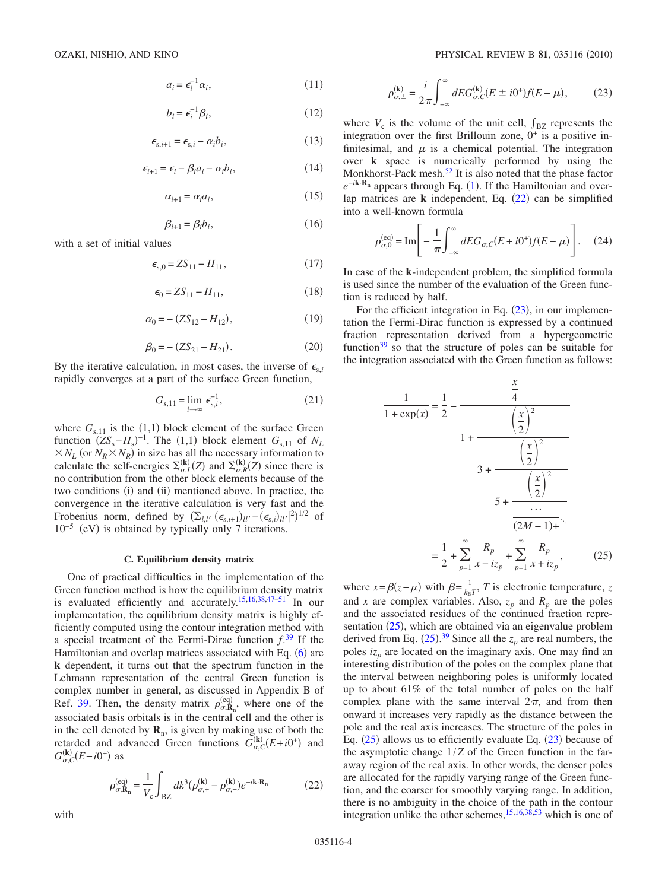$$
a_i = \epsilon_i^{-1} \alpha_i, \tag{11}
$$

$$
b_i = \epsilon_i^{-1} \beta_i, \tag{12}
$$

$$
\epsilon_{s,i+1} = \epsilon_{s,i} - \alpha_i b_i, \qquad (13)
$$

$$
\epsilon_{i+1} = \epsilon_i - \beta_i a_i - \alpha_i b_i, \qquad (14)
$$

$$
\alpha_{i+1} = \alpha_i a_i,\tag{15}
$$

$$
\beta_{i+1} = \beta_i b_i,\tag{16}
$$

with a set of initial values

$$
\epsilon_{s,0} = ZS_{11} - H_{11},\tag{17}
$$

$$
\epsilon_0 = ZS_{11} - H_{11},\tag{18}
$$

$$
\alpha_0 = -\left(ZS_{12} - H_{12}\right),\tag{19}
$$

$$
\beta_0 = - (ZS_{21} - H_{21}). \tag{20}
$$

<span id="page-3-3"></span>By the iterative calculation, in most cases, the inverse of  $\epsilon_{s,i}$ rapidly converges at a part of the surface Green function,

$$
G_{s,11} = \lim_{i \to \infty} \epsilon_{s,i}^{-1},\tag{21}
$$

where  $G_{s,11}$  is the  $(1,1)$  block element of the surface Green function  $(ZS_s - H_s)^{-1}$ . The (1,1) block element  $G_{s,11}$  of  $N_L$  $\times N_L$  (or  $N_R \times N_R$ ) in size has all the necessary information to calculate the self-energies  $\Sigma_{\sigma,L}^{(k)}(Z)$  and  $\Sigma_{\sigma,R}^{(k)}(Z)$  since there is no contribution from the other block elements because of the two conditions (i) and (ii) mentioned above. In practice, the convergence in the iterative calculation is very fast and the Frobenius norm, defined by  $(\sum_{l,l'}|(\epsilon_{s,i+1})_{ll'}-(\epsilon_{s,i})_{ll'}|^2)^{1/2}$  of  $10^{-5}$  (eV) is obtained by typically only 7 iterations.

### **C. Equilibrium density matrix**

One of practical difficulties in the implementation of the Green function method is how the equilibrium density matrix is evaluated efficiently and accurately[.15](#page-17-0)[,16,](#page-17-8)[38,](#page-17-9)[47](#page-17-16)[–51](#page-17-17) In our implementation, the equilibrium density matrix is highly efficiently computed using the contour integration method with a special treatment of the Fermi-Dirac function  $f^{39}$  $f^{39}$  $f^{39}$  If the Hamiltonian and overlap matrices associated with Eq. ([6](#page-2-1)) are **k** dependent, it turns out that the spectrum function in the Lehmann representation of the central Green function is complex number in general, as discussed in Appendix B of Ref. [39.](#page-17-10) Then, the density matrix  $\rho_{\sigma,\mathbf{R}_n}^{(eq)}$ , where one of the associated basis orbitals is in the central cell and the other is in the cell denoted by  $\mathbf{R}_n$ , is given by making use of both the retarded and advanced Green functions  $\vec{G}_{\sigma,C}^{(k)}(E+i0^+)$  and  $G_{\sigma,C}^{(k)}(E-i0^+)$  as

$$
\rho_{\sigma,\mathbf{R}_{n}}^{(eq)} = \frac{1}{V_{c}} \int_{BZ} dk^{3} (\rho_{\sigma,+}^{(\mathbf{k})} - \rho_{\sigma,-}^{(\mathbf{k})}) e^{-i\mathbf{k} \cdot \mathbf{R}_{n}}
$$
(22)

<span id="page-3-0"></span>with

<span id="page-3-1"></span>
$$
\rho_{\sigma,\pm}^{(\mathbf{k})} = \frac{i}{2\pi} \int_{-\infty}^{\infty} dE G_{\sigma,C}^{(\mathbf{k})}(E \pm i0^{+}) f(E - \mu), \tag{23}
$$

where  $V_c$  is the volume of the unit cell,  $\int_{BZ}$  represents the integration over the first Brillouin zone,  $0^+$  is a positive infinitesimal, and  $\mu$  is a chemical potential. The integration over **k** space is numerically performed by using the Monkhorst-Pack mesh.<sup>52</sup> It is also noted that the phase factor  $e^{-i\mathbf{k} \cdot \mathbf{R}_n}$  appears through Eq. ([1](#page-1-2)). If the Hamiltonian and overlap matrices are **k** independent, Eq. ([22](#page-3-0)) can be simplified into a well-known formula

$$
\rho_{\sigma,0}^{(\text{eq})} = \text{Im}\left[-\frac{1}{\pi} \int_{-\infty}^{\infty} dEG_{\sigma,C}(E + i0^+) f(E - \mu)\right].
$$
 (24)

In case of the **k**-independent problem, the simplified formula is used since the number of the evaluation of the Green function is reduced by half.

For the efficient integration in Eq.  $(23)$  $(23)$  $(23)$ , in our implementation the Fermi-Dirac function is expressed by a continued fraction representation derived from a hypergeometric function $39$  so that the structure of poles can be suitable for the integration associated with the Green function as follows:

<span id="page-3-2"></span>

where  $x = \beta(z - \mu)$  with  $\beta = \frac{1}{k_B T}$ , *T* is electronic temperature, *z* and *x* are complex variables. Also,  $z_p$  and  $R_p$  are the poles and the associated residues of the continued fraction representation  $(25)$  $(25)$  $(25)$ , which are obtained via an eigenvalue problem derived from Eq.  $(25).^{39}$  $(25).^{39}$  $(25).^{39}$  $(25).^{39}$  $(25).^{39}$  Since all the  $z_p$  are real numbers, the poles  $iz_p$  are located on the imaginary axis. One may find an interesting distribution of the poles on the complex plane that the interval between neighboring poles is uniformly located up to about 61% of the total number of poles on the half complex plane with the same interval  $2\pi$ , and from then onward it increases very rapidly as the distance between the pole and the real axis increases. The structure of the poles in Eq.  $(25)$  $(25)$  $(25)$  allows us to efficiently evaluate Eq.  $(23)$  $(23)$  $(23)$  because of the asymptotic change 1/*Z* of the Green function in the faraway region of the real axis. In other words, the denser poles are allocated for the rapidly varying range of the Green function, and the coarser for smoothly varying range. In addition, there is no ambiguity in the choice of the path in the contour integration unlike the other schemes[,15](#page-17-0)[,16](#page-17-8)[,38](#page-17-9)[,53](#page-17-19) which is one of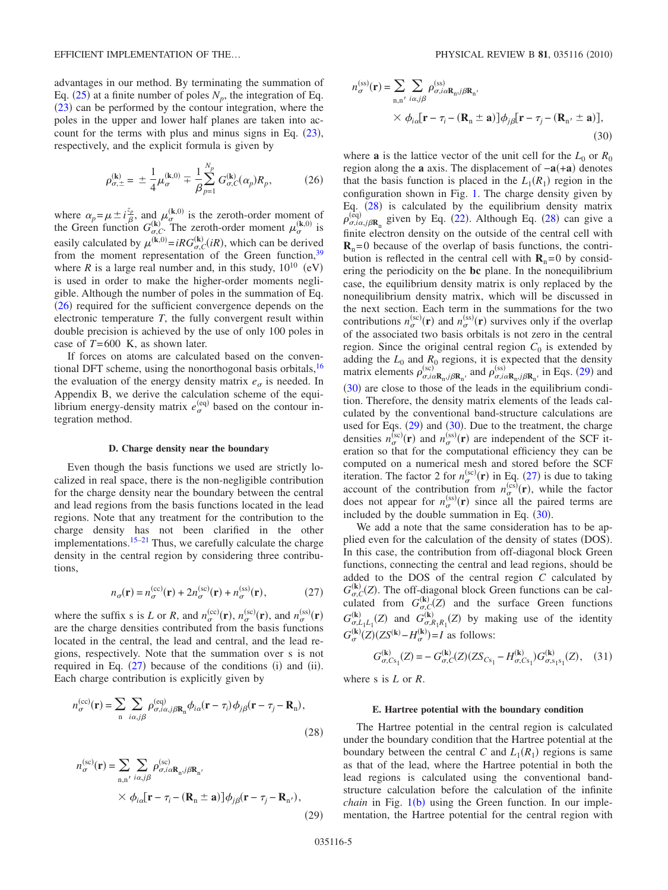advantages in our method. By terminating the summation of Eq.  $(25)$  $(25)$  $(25)$  at a finite number of poles  $N_p$ , the integration of Eq.  $(23)$  $(23)$  $(23)$  can be performed by the contour integration, where the poles in the upper and lower half planes are taken into account for the terms with plus and minus signs in Eq.  $(23)$  $(23)$  $(23)$ , respectively, and the explicit formula is given by

$$
\rho_{\sigma,\pm}^{(k)} = \pm \frac{1}{4} \mu_{\sigma}^{(k,0)} \pm \frac{1}{\beta} \sum_{p=1}^{N_p} G_{\sigma,C}^{(k)}(\alpha_p) R_p, \tag{26}
$$

<span id="page-4-0"></span>where  $\alpha_p = \mu \pm i\frac{\zeta_p}{\beta}$ , and  $\mu_{\sigma}^{(k,0)}$  is the zeroth-order moment of the Green function  $G_{\sigma,C}^{(k)}$ . The zeroth-order moment  $\mu_{\sigma}^{(k,0)}$  is easily calculated by  $\mu^{(k,0)} = iRG_{\sigma,C}^{(k)}(iR)$ , which can be derived from the moment representation of the Green function,<sup>39</sup> where *R* is a large real number and, in this study,  $10^{10}$  (eV) is used in order to make the higher-order moments negligible. Although the number of poles in the summation of Eq.  $(26)$  $(26)$  $(26)$  required for the sufficient convergence depends on the electronic temperature *T*, the fully convergent result within double precision is achieved by the use of only 100 poles in case of *T*= 600 K, as shown later.

If forces on atoms are calculated based on the conventional DFT scheme, using the nonorthogonal basis orbitals[,16](#page-17-8) the evaluation of the energy density matrix  $e_{\sigma}$  is needed. In Appendix B, we derive the calculation scheme of the equilibrium energy-density matrix  $e_{\sigma}^{(eq)}$  based on the contour integration method.

## **D. Charge density near the boundary**

Even though the basis functions we used are strictly localized in real space, there is the non-negligible contribution for the charge density near the boundary between the central and lead regions from the basis functions located in the lead regions. Note that any treatment for the contribution to the charge density has not been clarified in the other implementations.<sup>15[–21](#page-17-20)</sup> Thus, we carefully calculate the charge density in the central region by considering three contributions,

$$
n_{\sigma}(\mathbf{r}) = n_{\sigma}^{(\text{cc})}(\mathbf{r}) + 2n_{\sigma}^{(\text{sc})}(\mathbf{r}) + n_{\sigma}^{(\text{ss})}(\mathbf{r}),
$$
\n(27)

<span id="page-4-1"></span>where the suffix s is *L* or *R*, and  $n_{\sigma}^{(cc)}(\mathbf{r})$ ,  $n_{\sigma}^{(sc)}(\mathbf{r})$ , and  $n_{\sigma}^{(ss)}(\mathbf{r})$ are the charge densities contributed from the basis functions located in the central, the lead and central, and the lead regions, respectively. Note that the summation over s is not required in Eq.  $(27)$  $(27)$  $(27)$  because of the conditions  $(i)$  and  $(ii)$ . Each charge contribution is explicitly given by

<span id="page-4-2"></span>
$$
n_{\sigma}^{(cc)}(\mathbf{r}) = \sum_{\mathbf{n}} \sum_{i\alpha,j\beta} \rho_{\sigma,i\alpha,j\beta\mathbf{R}_{\mathbf{n}}}^{(eq)} \phi_{i\alpha}(\mathbf{r} - \tau_i) \phi_{j\beta}(\mathbf{r} - \tau_j - \mathbf{R}_{\mathbf{n}}),
$$
\n(28)

<span id="page-4-3"></span>
$$
n_{\sigma}^{(\rm sc)}(\mathbf{r}) = \sum_{\mathbf{n}, \mathbf{n}'} \sum_{i\alpha, j\beta} \rho_{\sigma, i\alpha \mathbf{R}_{\mathbf{n}}, j\beta \mathbf{R}_{\mathbf{n}'}}^{(\rm sc)}
$$

$$
\times \phi_{i\alpha}[\mathbf{r} - \tau_i - (\mathbf{R}_{\mathbf{n}} \pm \mathbf{a})] \phi_{j\beta}(\mathbf{r} - \tau_j - \mathbf{R}_{\mathbf{n}'}),
$$
(29)

<span id="page-4-4"></span>
$$
n_{\sigma}^{(\rm ss)}(\mathbf{r}) = \sum_{\mathbf{n}, \mathbf{n}'} \sum_{i\alpha, j\beta} \rho_{\sigma, i\alpha \mathbf{R}_{\mathbf{n}}, j\beta \mathbf{R}_{\mathbf{n}'}}^{(\rm ss)}
$$

$$
\times \phi_{i\alpha}[\mathbf{r} - \tau_i - (\mathbf{R}_{\mathbf{n}} \pm \mathbf{a})] \phi_{j\beta}[\mathbf{r} - \tau_j - (\mathbf{R}_{\mathbf{n}'} \pm \mathbf{a})],
$$
(30)

where **a** is the lattice vector of the unit cell for the  $L_0$  or  $R_0$ region along the **a** axis. The displacement of  $-a(+a)$  denotes that the basis function is placed in the  $L_1(R_1)$  region in the configuration shown in Fig. [1.](#page-1-1) The charge density given by Eq.  $(28)$  $(28)$  $(28)$  is calculated by the equilibrium density matrix  $\rho_{\sigma,i\alpha,j\beta\mathbf{R}_n}^{(\text{eq})}$  given by Eq. ([22](#page-3-0)). Although Eq. ([28](#page-4-2)) can give a finite electron density on the outside of the central cell with  $\mathbf{R}_{n}$ =0 because of the overlap of basis functions, the contribution is reflected in the central cell with  $\mathbf{R}_{n}=0$  by considering the periodicity on the **bc** plane. In the nonequilibrium case, the equilibrium density matrix is only replaced by the nonequilibrium density matrix, which will be discussed in the next section. Each term in the summations for the two contributions  $n_{\sigma}^{(sc)}(\mathbf{r})$  and  $n_{\sigma}^{(ss)}(\mathbf{r})$  survives only if the overlap of the associated two basis orbitals is not zero in the central region. Since the original central region  $C_0$  is extended by adding the  $L_0$  and  $R_0$  regions, it is expected that the density matrix elements  $\rho_{\sigma,i\alpha\mathbf{R}_{n},j\beta\mathbf{R}_{n}'}^{(sc)}$  and  $\rho_{\sigma,i\alpha\mathbf{R}_{n},j\beta\mathbf{R}_{n}'}^{(ss)}$  in Eqs. ([29](#page-4-3)) and  $(30)$  $(30)$  $(30)$  are close to those of the leads in the equilibrium condition. Therefore, the density matrix elements of the leads calculated by the conventional band-structure calculations are used for Eqs.  $(29)$  $(29)$  $(29)$  and  $(30)$  $(30)$  $(30)$ . Due to the treatment, the charge densities  $n_{\sigma}^{(sc)}(\mathbf{r})$  and  $n_{\sigma}^{(ss)}(\mathbf{r})$  are independent of the SCF iteration so that for the computational efficiency they can be computed on a numerical mesh and stored before the SCF iteration. The factor 2 for  $n_{\sigma}^{(sc)}(\mathbf{r})$  in Eq. ([27](#page-4-1)) is due to taking account of the contribution from  $n_{\sigma}^{(cs)}(\mathbf{r})$ , while the factor does not appear for  $n_{\sigma}^{(ss)}(\mathbf{r})$  since all the paired terms are included by the double summation in Eq.  $(30)$  $(30)$  $(30)$ .

We add a note that the same consideration has to be applied even for the calculation of the density of states (DOS). In this case, the contribution from off-diagonal block Green functions, connecting the central and lead regions, should be added to the DOS of the central region *C* calculated by  $G_{\sigma,C}^{(k)}(Z)$ . The off-diagonal block Green functions can be calculated from  $G_{\sigma,C}^{(k)}(Z)$  and the surface Green functions  $G_{\sigma,L_1L_1}^{(k)}(Z)$  and  $G_{\sigma,R_1R_1}^{(k)}(Z)$  by making use of the identity  $G_{\sigma}^{(k)}(Z)(ZS^{(k)}-H_{\sigma}^{(k)})=I$  as follows:

$$
G^{(k)}_{\sigma, Cs_1}(Z) = - G^{(k)}_{\sigma, C}(Z)(ZS_{Cs_1} - H^{(k)}_{\sigma, Cs_1})G^{(k)}_{\sigma, s_1 s_1}(Z), \quad (31)
$$

where s is *L* or *R*.

### **E. Hartree potential with the boundary condition**

The Hartree potential in the central region is calculated under the boundary condition that the Hartree potential at the boundary between the central *C* and  $L_1(R_1)$  regions is same as that of the lead, where the Hartree potential in both the lead regions is calculated using the conventional bandstructure calculation before the calculation of the infinite *chain* in Fig.  $1(b)$  $1(b)$  using the Green function. In our implementation, the Hartree potential for the central region with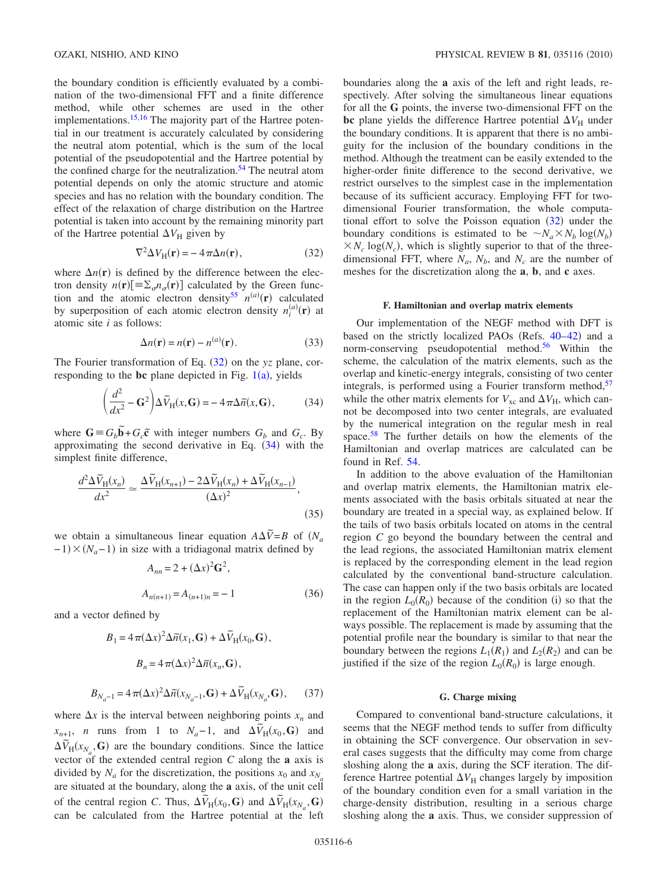the boundary condition is efficiently evaluated by a combination of the two-dimensional FFT and a finite difference method, while other schemes are used in the other implementations.<sup>15[,16](#page-17-8)</sup> The majority part of the Hartree potential in our treatment is accurately calculated by considering the neutral atom potential, which is the sum of the local potential of the pseudopotential and the Hartree potential by the confined charge for the neutralization.<sup>54</sup> The neutral atom potential depends on only the atomic structure and atomic species and has no relation with the boundary condition. The effect of the relaxation of charge distribution on the Hartree potential is taken into account by the remaining minority part of the Hartree potential  $\Delta V_H$  given by

$$
\nabla^2 \Delta V_{\rm H}(\mathbf{r}) = -4\pi \Delta n(\mathbf{r}),\tag{32}
$$

<span id="page-5-0"></span>where  $\Delta n(\mathbf{r})$  is defined by the difference between the electron density  $n(\mathbf{r}) \equiv \sum_{\sigma} n_{\sigma}(\mathbf{r})$  calculated by the Green function and the atomic electron density<sup>55</sup>  $n^{(a)}(\mathbf{r})$  calculated by superposition of each atomic electron density  $n_i^{(a)}(\mathbf{r})$  at atomic site *i* as follows:

$$
\Delta n(\mathbf{r}) = n(\mathbf{r}) - n^{(a)}(\mathbf{r}).\tag{33}
$$

<span id="page-5-1"></span>The Fourier transformation of Eq. ([32](#page-5-0)) on the *yz* plane, corresponding to the **bc** plane depicted in Fig.  $1(a)$  $1(a)$ , yields

$$
\left(\frac{d^2}{dx^2} - \mathbf{G}^2\right) \Delta \widetilde{V}_{\mathrm{H}}(x, \mathbf{G}) = -4\pi \Delta \widetilde{n}(x, \mathbf{G}),\tag{34}
$$

where  $\mathbf{G} \equiv G_b \widetilde{\mathbf{b}} + G_c \widetilde{\mathbf{c}}$  with integer numbers  $G_b$  and  $G_c$ . By approximating the second derivative in Eq.  $(34)$  $(34)$  $(34)$  with the simplest finite difference,

$$
\frac{d^2\Delta\widetilde{V}_{\mathrm{H}}(x_n)}{dx^2} \simeq \frac{\Delta\widetilde{V}_{\mathrm{H}}(x_{n+1}) - 2\Delta\widetilde{V}_{\mathrm{H}}(x_n) + \Delta\widetilde{V}_{\mathrm{H}}(x_{n-1})}{(\Delta x)^2},\tag{35}
$$

we obtain a simultaneous linear equation  $A\Delta \tilde{V} = B$  of  $(N_a$  $-1 \times (N_a - 1)$  in size with a tridiagonal matrix defined by

$$
A_{nn} = 2 + (\Delta x)^2 \mathbf{G}^2,
$$

$$
A_{n(n+1)} = A_{(n+1)n} = -1 \tag{36}
$$

<span id="page-5-2"></span>and a vector defined by

$$
B_1 = 4\pi (\Delta x)^2 \Delta \tilde{n}(x_1, \mathbf{G}) + \Delta \tilde{V}_{\text{H}}(x_0, \mathbf{G}),
$$
  

$$
B_n = 4\pi (\Delta x)^2 \Delta \tilde{n}(x_n, \mathbf{G}),
$$
  

$$
B_{N_a - 1} = 4\pi (\Delta x)^2 \Delta \tilde{n}(x_{N_a - 1}, \mathbf{G}) + \Delta \tilde{V}_{\text{H}}(x_{N_a}, \mathbf{G}),
$$
 (37)

where  $\Delta x$  is the interval between neighboring points  $x_n$  and *x<sub>n+1</sub>*, *n* runs from 1 to *N<sub>a</sub>*−1, and  $\Delta \tilde{V}_{\text{H}}(x_0, \mathbf{G})$  and  $\Delta V_H(x_{N_a}, \mathbf{G})$  are the boundary conditions. Since the lattice vector of the extended central region *C* along the **a** axis is divided by  $N_a$  for the discretization, the positions  $x_0$  and  $x_N$ are situated at the boundary, along the **a** axis, of the unit cell of the central region *C*. Thus,  $\Delta \tilde{V}_{\text{H}}(x_0, \mathbf{G})$  and  $\Delta \tilde{V}_{\text{H}}(x_{N_a}, \mathbf{G})$ can be calculated from the Hartree potential at the left boundaries along the **a** axis of the left and right leads, respectively. After solving the simultaneous linear equations for all the **G** points, the inverse two-dimensional FFT on the **bc** plane yields the difference Hartree potential  $\Delta V_H$  under the boundary conditions. It is apparent that there is no ambiguity for the inclusion of the boundary conditions in the method. Although the treatment can be easily extended to the higher-order finite difference to the second derivative, we restrict ourselves to the simplest case in the implementation because of its sufficient accuracy. Employing FFT for twodimensional Fourier transformation, the whole computational effort to solve the Poisson equation  $(32)$  $(32)$  $(32)$  under the boundary conditions is estimated to be  $\sim N_a \times N_b \log(N_b)$  $\times N_c \log(N_c)$ , which is slightly superior to that of the threedimensional FFT, where  $N_a$ ,  $N_b$ , and  $N_c$  are the number of meshes for the discretization along the **a**, **b**, and **c** axes.

#### **F. Hamiltonian and overlap matrix elements**

Our implementation of the NEGF method with DFT is based on the strictly localized PAOs (Refs. [40–](#page-17-11)[42](#page-17-12)) and a norm-conserving pseudopotential method.<sup>56</sup> Within the scheme, the calculation of the matrix elements, such as the overlap and kinetic-energy integrals, consisting of two center integrals, is performed using a Fourier transform method, $57$ while the other matrix elements for  $V_{\text{xc}}$  and  $\Delta V_{\text{H}}$ , which cannot be decomposed into two center integrals, are evaluated by the numerical integration on the regular mesh in real space.<sup>58</sup> The further details on how the elements of the Hamiltonian and overlap matrices are calculated can be found in Ref. [54.](#page-17-21)

In addition to the above evaluation of the Hamiltonian and overlap matrix elements, the Hamiltonian matrix elements associated with the basis orbitals situated at near the boundary are treated in a special way, as explained below. If the tails of two basis orbitals located on atoms in the central region *C* go beyond the boundary between the central and the lead regions, the associated Hamiltonian matrix element is replaced by the corresponding element in the lead region calculated by the conventional band-structure calculation. The case can happen only if the two basis orbitals are located in the region  $L_0(R_0)$  because of the condition (i) so that the replacement of the Hamiltonian matrix element can be always possible. The replacement is made by assuming that the potential profile near the boundary is similar to that near the boundary between the regions  $L_1(R_1)$  and  $L_2(R_2)$  and can be justified if the size of the region  $L_0(R_0)$  is large enough.

#### **G. Charge mixing**

Compared to conventional band-structure calculations, it seems that the NEGF method tends to suffer from difficulty in obtaining the SCF convergence. Our observation in several cases suggests that the difficulty may come from charge sloshing along the **a** axis, during the SCF iteration. The difference Hartree potential  $\Delta V_H$  changes largely by imposition of the boundary condition even for a small variation in the charge-density distribution, resulting in a serious charge sloshing along the **a** axis. Thus, we consider suppression of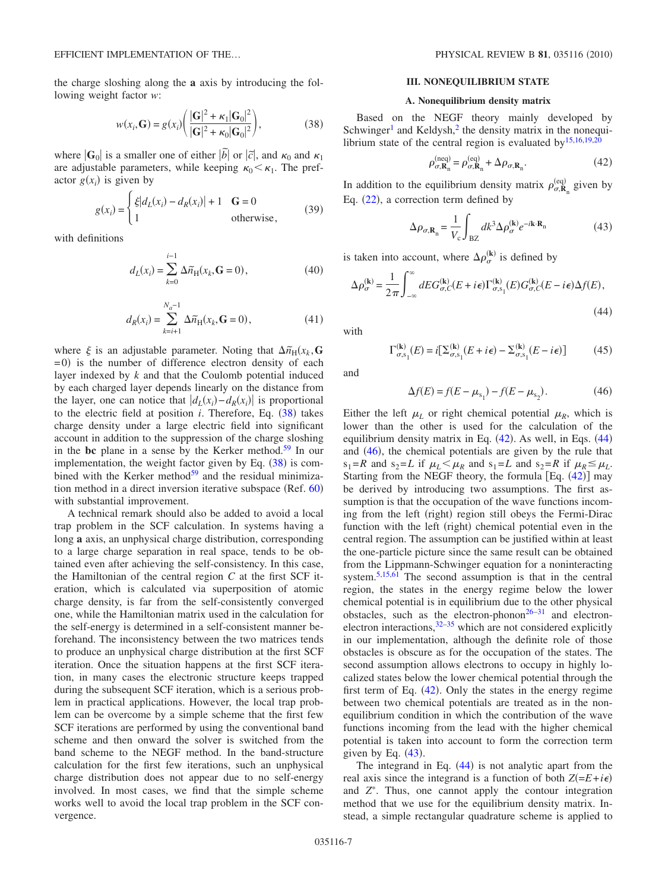<span id="page-6-1"></span>the charge sloshing along the **a** axis by introducing the following weight factor *w*:

$$
w(x_i, \mathbf{G}) = g(x_i) \left( \frac{|\mathbf{G}|^2 + \kappa_1 |\mathbf{G}_0|^2}{|\mathbf{G}|^2 + \kappa_0 |\mathbf{G}_0|^2} \right),\tag{38}
$$

where  $|G_0|$  is a smaller one of either  $|\tilde{b}|$  or  $|\tilde{c}|$ , and  $\kappa_0$  and  $\kappa_1$ are adjustable parameters, while keeping  $\kappa_0 \leq \kappa_1$ . The prefactor  $g(x_i)$  is given by

$$
g(x_i) = \begin{cases} \xi |d_L(x_i) - d_R(x_i)| + 1 & \mathbf{G} = 0\\ 1 & \text{otherwise,} \end{cases}
$$
 (39)

with definitions

$$
d_L(x_i) = \sum_{k=0}^{i-1} \Delta \tilde{n}_{\rm H}(x_k, \mathbf{G} = 0),
$$
 (40)

$$
d_R(x_i) = \sum_{k=i+1}^{N_a - 1} \Delta \tilde{n}_{\text{H}}(x_k, \mathbf{G} = 0),
$$
 (41)

where  $\xi$  is an adjustable parameter. Noting that  $\Delta \tilde{n}_{\text{H}}(x_k, \mathbf{G})$  $= 0$ ) is the number of difference electron density of each layer indexed by *k* and that the Coulomb potential induced by each charged layer depends linearly on the distance from the layer, one can notice that  $|d_L(x_i) - d_R(x_i)|$  is proportional to the electric field at position  $i$ . Therefore, Eq.  $(38)$  $(38)$  $(38)$  takes charge density under a large electric field into significant account in addition to the suppression of the charge sloshing in the **bc** plane in a sense by the Kerker method.<sup>59</sup> In our implementation, the weight factor given by Eq.  $(38)$  $(38)$  $(38)$  is combined with the Kerker method $59$  and the residual minimiza-tion method in a direct inversion iterative subspace (Ref. [60](#page-17-27)) with substantial improvement.

A technical remark should also be added to avoid a local trap problem in the SCF calculation. In systems having a long **a** axis, an unphysical charge distribution, corresponding to a large charge separation in real space, tends to be obtained even after achieving the self-consistency. In this case, the Hamiltonian of the central region *C* at the first SCF iteration, which is calculated via superposition of atomic charge density, is far from the self-consistently converged one, while the Hamiltonian matrix used in the calculation for the self-energy is determined in a self-consistent manner beforehand. The inconsistency between the two matrices tends to produce an unphysical charge distribution at the first SCF iteration. Once the situation happens at the first SCF iteration, in many cases the electronic structure keeps trapped during the subsequent SCF iteration, which is a serious problem in practical applications. However, the local trap problem can be overcome by a simple scheme that the first few SCF iterations are performed by using the conventional band scheme and then onward the solver is switched from the band scheme to the NEGF method. In the band-structure calculation for the first few iterations, such an unphysical charge distribution does not appear due to no self-energy involved. In most cases, we find that the simple scheme works well to avoid the local trap problem in the SCF convergence.

## **III. NONEQUILIBRIUM STATE**

### **A. Nonequilibrium density matrix**

<span id="page-6-0"></span>Based on the NEGF theory mainly developed by Schwinger<sup>1</sup> and Keldysh,<sup>2</sup> the density matrix in the nonequilibrium state of the central region is evaluated by  $15,16,19,20$  $15,16,19,20$  $15,16,19,20$  $15,16,19,20$ 

$$
\rho_{\sigma,\mathbf{R}_{n}}^{(\text{neq})} = \rho_{\sigma,\mathbf{R}_{n}}^{(\text{eq})} + \Delta \rho_{\sigma,\mathbf{R}_{n}}.
$$
\n(42)

<span id="page-6-5"></span><span id="page-6-2"></span>In addition to the equilibrium density matrix  $\rho_{\sigma,\mathbf{R}_n}^{(eq)}$  given by Eq.  $(22)$  $(22)$  $(22)$ , a correction term defined by

$$
\Delta \rho_{\sigma, \mathbf{R}_{n}} = \frac{1}{V_c} \int_{BZ} dk^3 \Delta \rho_{\sigma}^{(\mathbf{k})} e^{-i\mathbf{k} \cdot \mathbf{R}_{n}}
$$
(43)

is taken into account, where  $\Delta \rho_{\sigma}^{(k)}$  is defined by

<span id="page-6-3"></span>
$$
\Delta \rho_{\sigma}^{(\mathbf{k})} = \frac{1}{2\pi} \int_{-\infty}^{\infty} dE G_{\sigma,C}^{(\mathbf{k})}(E + i\epsilon) \Gamma_{\sigma,s_1}^{(\mathbf{k})}(E) G_{\sigma,C}^{(\mathbf{k})}(E - i\epsilon) \Delta f(E),
$$
\n(44)

with

$$
\Gamma_{\sigma,s_1}^{(\mathbf{k})}(E) = i[\Sigma_{\sigma,s_1}^{(\mathbf{k})}(E+i\epsilon) - \Sigma_{\sigma,s_1}^{(\mathbf{k})}(E-i\epsilon)] \tag{45}
$$

<span id="page-6-4"></span>and

$$
\Delta f(E) = f(E - \mu_{s_1}) - f(E - \mu_{s_2}). \tag{46}
$$

Either the left  $\mu_L$  or right chemical potential  $\mu_R$ , which is lower than the other is used for the calculation of the equilibrium density matrix in Eq.  $(42)$  $(42)$  $(42)$ . As well, in Eqs.  $(44)$  $(44)$  $(44)$ and ([46](#page-6-4)), the chemical potentials are given by the rule that  $s_1=R$  and  $s_2=L$  if  $\mu_L < \mu_R$  and  $s_1=L$  and  $s_2=R$  if  $\mu_R \leq \mu_L$ . Starting from the NEGF theory, the formula  $[Eq. (42)]$  $[Eq. (42)]$  $[Eq. (42)]$  may be derived by introducing two assumptions. The first assumption is that the occupation of the wave functions incoming from the left (right) region still obeys the Fermi-Dirac function with the left (right) chemical potential even in the central region. The assumption can be justified within at least the one-particle picture since the same result can be obtained from the Lippmann-Schwinger equation for a noninteracting system.[5,](#page-16-13)[15](#page-17-0)[,61](#page-17-30) The second assumption is that in the central region, the states in the energy regime below the lower chemical potential is in equilibrium due to the other physical obstacles, such as the electron-phonon<sup>26[–31](#page-17-3)</sup> and electronelectron interactions, $32-35$  which are not considered explicitly in our implementation, although the definite role of those obstacles is obscure as for the occupation of the states. The second assumption allows electrons to occupy in highly localized states below the lower chemical potential through the first term of Eq.  $(42)$  $(42)$  $(42)$ . Only the states in the energy regime between two chemical potentials are treated as in the nonequilibrium condition in which the contribution of the wave functions incoming from the lead with the higher chemical potential is taken into account to form the correction term given by Eq.  $(43)$  $(43)$  $(43)$ .

The integrand in Eq.  $(44)$  $(44)$  $(44)$  is not analytic apart from the real axis since the integrand is a function of both  $Z(=E+i\epsilon)$ and *Z* . Thus, one cannot apply the contour integration method that we use for the equilibrium density matrix. Instead, a simple rectangular quadrature scheme is applied to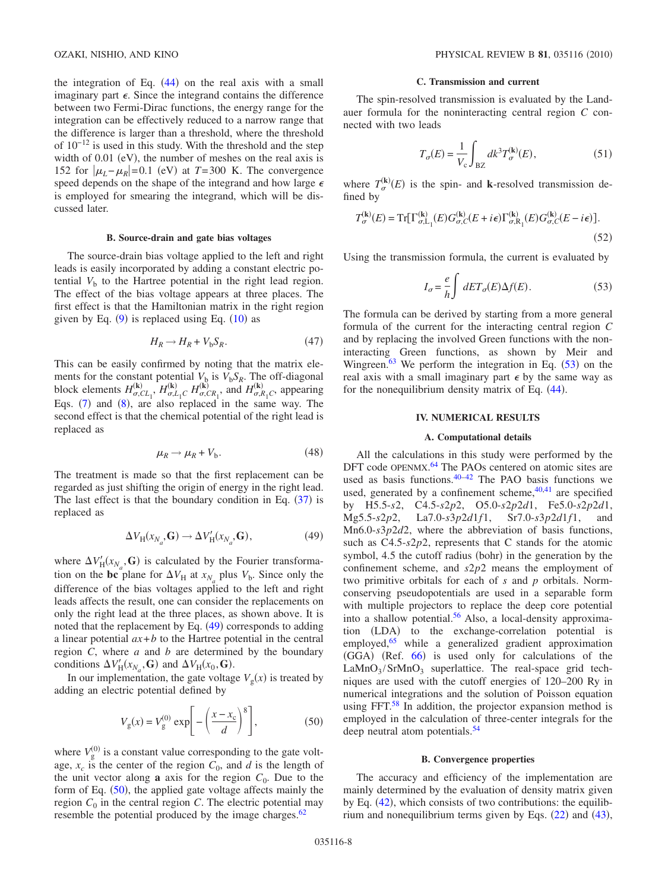the integration of Eq.  $(44)$  $(44)$  $(44)$  on the real axis with a small imaginary part  $\epsilon$ . Since the integrand contains the difference between two Fermi-Dirac functions, the energy range for the integration can be effectively reduced to a narrow range that the difference is larger than a threshold, where the threshold of  $10^{-12}$  is used in this study. With the threshold and the step width of  $0.01$  (eV), the number of meshes on the real axis is 152 for  $|\mu_L - \mu_R| = 0.1$  (eV) at *T*=300 K. The convergence speed depends on the shape of the integrand and how large  $\epsilon$ is employed for smearing the integrand, which will be discussed later.

#### **B. Source-drain and gate bias voltages**

The source-drain bias voltage applied to the left and right leads is easily incorporated by adding a constant electric potential  $V<sub>b</sub>$  to the Hartree potential in the right lead region. The effect of the bias voltage appears at three places. The first effect is that the Hamiltonian matrix in the right region given by Eq.  $(9)$  $(9)$  $(9)$  is replaced using Eq.  $(10)$  $(10)$  $(10)$  as

$$
H_R \to H_R + V_b S_R. \tag{47}
$$

This can be easily confirmed by noting that the matrix elements for the constant potential  $V_b$  is  $V_b S_R$ . The off-diagonal block elements  $H_{\sigma,CL_1}^{(\mathbf{k})}$ ,  $H_{\sigma,L_1}^{(\mathbf{k})}$   $H_{\sigma,CR_1}^{(\mathbf{k})}$ , and  $H_{\sigma,R_1}^{(\mathbf{k})}$ , appearing Eqs.  $(7)$  $(7)$  $(7)$  and  $(8)$  $(8)$  $(8)$ , are also replaced in the same way. The second effect is that the chemical potential of the right lead is replaced as

$$
\mu_R \to \mu_R + V_b. \tag{48}
$$

The treatment is made so that the first replacement can be regarded as just shifting the origin of energy in the right lead. The last effect is that the boundary condition in Eq.  $(37)$  $(37)$  $(37)$  is replaced as

$$
\Delta V_{\rm H}(x_{N_a}, \mathbf{G}) \to \Delta V_{\rm H}'(x_{N_a}, \mathbf{G}),\tag{49}
$$

<span id="page-7-1"></span>where  $\Delta V'_{\text{H}}(x_{N_a}, \mathbf{G})$  is calculated by the Fourier transformation on the **bc** plane for  $\Delta V_H$  at  $x_{N_a}$  plus  $V_b$ . Since only the difference of the bias voltages applied to the left and right leads affects the result, one can consider the replacements on only the right lead at the three places, as shown above. It is noted that the replacement by Eq.  $(49)$  $(49)$  $(49)$  corresponds to adding a linear potential  $ax + b$  to the Hartree potential in the central region *C*, where *a* and *b* are determined by the boundary conditions  $\Delta V'_{\text{H}}(x_{N_a}, \mathbf{G})$  and  $\Delta V_{\text{H}}(x_0, \mathbf{G})$ .

<span id="page-7-2"></span>In our implementation, the gate voltage  $V_g(x)$  is treated by adding an electric potential defined by

$$
V_{g}(x) = V_{g}^{(0)} \exp\left[-\left(\frac{x - x_{c}}{d}\right)^{8}\right],
$$
 (50)

where  $V_g^{(0)}$  is a constant value corresponding to the gate voltage,  $x_c$  is the center of the region  $C_0$ , and *d* is the length of the unit vector along **a** axis for the region  $C_0$ . Due to the form of Eq.  $(50)$  $(50)$  $(50)$ , the applied gate voltage affects mainly the region  $C_0$  in the central region *C*. The electric potential may resemble the potential produced by the image charges. $62$ 

### **C. Transmission and current**

The spin-resolved transmission is evaluated by the Landauer formula for the noninteracting central region *C* connected with two leads

$$
T_{\sigma}(E) = \frac{1}{V_{\rm c}} \int_{\rm BZ} dk^3 T_{\sigma}^{(\mathbf{k})}(E), \qquad (51)
$$

<span id="page-7-4"></span>where  $T_{\sigma}^{(k)}(E)$  is the spin- and **k**-resolved transmission defined by

$$
T_{\sigma}^{(\mathbf{k})}(E) = \text{Tr}[\Gamma_{\sigma,\mathbf{L}_{1}}^{(\mathbf{k})}(E)G_{\sigma,C}^{(\mathbf{k})}(E+i\epsilon)\Gamma_{\sigma,\mathbf{R}_{1}}^{(\mathbf{k})}(E)G_{\sigma,C}^{(\mathbf{k})}(E-i\epsilon)].
$$
\n(52)

<span id="page-7-3"></span>Using the transmission formula, the current is evaluated by

$$
I_{\sigma} = \frac{e}{h} \int dE T_{\sigma}(E) \Delta f(E). \tag{53}
$$

The formula can be derived by starting from a more general formula of the current for the interacting central region *C* and by replacing the involved Green functions with the noninteracting Green functions, as shown by Meir and Wingreen. $^{63}$  We perform the integration in Eq. ([53](#page-7-3)) on the real axis with a small imaginary part  $\epsilon$  by the same way as for the nonequilibrium density matrix of Eq.  $(44)$  $(44)$  $(44)$ .

### **IV. NUMERICAL RESULTS**

#### **A. Computational details**

<span id="page-7-0"></span>All the calculations in this study were performed by the DFT code OPENMX.<sup>[64](#page-17-33)</sup> The PAOs centered on atomic sites are used as basis functions. $40-42$  The PAO basis functions we used, generated by a confinement scheme,  $40,41$  $40,41$  are specified by H5.5-*s*2, C4.5-*s*2*p*2, O5.0-*s*2*p*2*d*1, Fe5.0-*s*2*p*2*d*1, Mg5.5-*s*2*p*2, La7.0-*s*3*p*2*d*1*f*1, Sr7.0-*s*3*p*2*d*1*f*1, and Mn6.0-*s*3*p*2*d*2, where the abbreviation of basis functions, such as C4.5-*s*2*p*2, represents that C stands for the atomic symbol, 4.5 the cutoff radius (bohr) in the generation by the confinement scheme, and *s*2*p*2 means the employment of two primitive orbitals for each of *s* and *p* orbitals. Normconserving pseudopotentials are used in a separable form with multiple projectors to replace the deep core potential into a shallow potential.<sup>56</sup> Also, a local-density approximation (LDA) to the exchange-correlation potential is employed, $65$  while a generalized gradient approximation (GGA) (Ref. [66](#page-17-36)) is used only for calculations of the  $LaMnO<sub>3</sub>/SrMnO<sub>3</sub>$  superlattice. The real-space grid techniques are used with the cutoff energies of 120–200 Ry in numerical integrations and the solution of Poisson equation using FFT.<sup>58</sup> In addition, the projector expansion method is employed in the calculation of three-center integrals for the deep neutral atom potentials.<sup>54</sup>

#### **B. Convergence properties**

The accuracy and efficiency of the implementation are mainly determined by the evaluation of density matrix given by Eq.  $(42)$  $(42)$  $(42)$ , which consists of two contributions: the equilibrium and nonequilibrium terms given by Eqs.  $(22)$  $(22)$  $(22)$  and  $(43)$  $(43)$  $(43)$ ,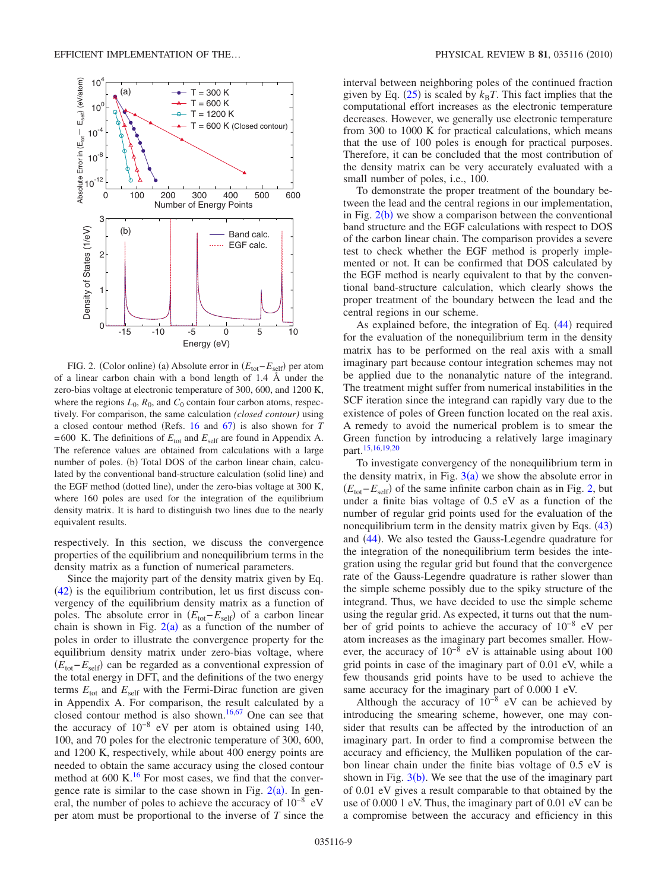<span id="page-8-0"></span>

FIG. 2. (Color online) (a) Absolute error in  $(E_{\text{tot}}-E_{\text{self}})$  per atom of a linear carbon chain with a bond length of 1.4 Å under the zero-bias voltage at electronic temperature of 300, 600, and 1200 K, where the regions  $L_0$ ,  $R_0$ , and  $C_0$  contain four carbon atoms, respectively. For comparison, the same calculation *(closed contour)* using a closed contour method (Refs. [16](#page-17-8) and [67](#page-17-37)) is also shown for *T* = 600 K. The definitions of  $E_{\text{tot}}$  and  $E_{\text{self}}$  are found in Appendix A. The reference values are obtained from calculations with a large number of poles. (b) Total DOS of the carbon linear chain, calculated by the conventional band-structure calculation (solid line) and the EGF method (dotted line), under the zero-bias voltage at 300 K, where 160 poles are used for the integration of the equilibrium density matrix. It is hard to distinguish two lines due to the nearly equivalent results.

respectively. In this section, we discuss the convergence properties of the equilibrium and nonequilibrium terms in the density matrix as a function of numerical parameters.

Since the majority part of the density matrix given by Eq.  $(42)$  $(42)$  $(42)$  is the equilibrium contribution, let us first discuss convergency of the equilibrium density matrix as a function of poles. The absolute error in  $(E_{\text{tot}}-E_{\text{self}})$  of a carbon linear chain is shown in Fig.  $2(a)$  $2(a)$  as a function of the number of poles in order to illustrate the convergence property for the equilibrium density matrix under zero-bias voltage, where ( $E$ <sub>tot</sub>− $E$ <sub>self</sub>) can be regarded as a conventional expression of the total energy in DFT, and the definitions of the two energy terms  $E_{\text{tot}}$  and  $E_{\text{self}}$  with the Fermi-Dirac function are given in Appendix A. For comparison, the result calculated by a closed contour method is also shown. $16,67$  $16,67$  One can see that the accuracy of  $10^{-8}$  eV per atom is obtained using 140, 100, and 70 poles for the electronic temperature of 300, 600, and 1200 K, respectively, while about 400 energy points are needed to obtain the same accuracy using the closed contour method at  $600 \text{ K}$ .<sup>16</sup> For most cases, we find that the convergence rate is similar to the case shown in Fig.  $2(a)$  $2(a)$ . In general, the number of poles to achieve the accuracy of 10−8 eV per atom must be proportional to the inverse of *T* since the

interval between neighboring poles of the continued fraction given by Eq. ([25](#page-3-2)) is scaled by  $k_B T$ . This fact implies that the computational effort increases as the electronic temperature decreases. However, we generally use electronic temperature from 300 to 1000 K for practical calculations, which means that the use of 100 poles is enough for practical purposes. Therefore, it can be concluded that the most contribution of the density matrix can be very accurately evaluated with a small number of poles, i.e., 100.

To demonstrate the proper treatment of the boundary between the lead and the central regions in our implementation, in Fig.  $2(b)$  $2(b)$  we show a comparison between the conventional band structure and the EGF calculations with respect to DOS of the carbon linear chain. The comparison provides a severe test to check whether the EGF method is properly implemented or not. It can be confirmed that DOS calculated by the EGF method is nearly equivalent to that by the conventional band-structure calculation, which clearly shows the proper treatment of the boundary between the lead and the central regions in our scheme.

As explained before, the integration of Eq. ([44](#page-6-3)) required for the evaluation of the nonequilibrium term in the density matrix has to be performed on the real axis with a small imaginary part because contour integration schemes may not be applied due to the nonanalytic nature of the integrand. The treatment might suffer from numerical instabilities in the SCF iteration since the integrand can rapidly vary due to the existence of poles of Green function located on the real axis. A remedy to avoid the numerical problem is to smear the Green function by introducing a relatively large imaginary part[.15,](#page-17-0)[16](#page-17-8)[,19](#page-17-28)[,20](#page-17-29)

To investigate convergency of the nonequilibrium term in the density matrix, in Fig.  $3(a)$  $3(a)$  we show the absolute error in  $(E<sub>tot</sub> – E<sub>self</sub>)$  of the same infinite carbon chain as in Fig. [2,](#page-8-0) but under a finite bias voltage of 0.5 eV as a function of the number of regular grid points used for the evaluation of the nonequilibrium term in the density matrix given by Eqs. ([43](#page-6-5)) and ([44](#page-6-3)). We also tested the Gauss-Legendre quadrature for the integration of the nonequilibrium term besides the integration using the regular grid but found that the convergence rate of the Gauss-Legendre quadrature is rather slower than the simple scheme possibly due to the spiky structure of the integrand. Thus, we have decided to use the simple scheme using the regular grid. As expected, it turns out that the number of grid points to achieve the accuracy of 10−8 eV per atom increases as the imaginary part becomes smaller. However, the accuracy of  $10^{-8}$  eV is attainable using about 100 grid points in case of the imaginary part of 0.01 eV, while a few thousands grid points have to be used to achieve the same accuracy for the imaginary part of 0.000 1 eV.

Although the accuracy of  $10^{-8}$  eV can be achieved by introducing the smearing scheme, however, one may consider that results can be affected by the introduction of an imaginary part. In order to find a compromise between the accuracy and efficiency, the Mulliken population of the carbon linear chain under the finite bias voltage of 0.5 eV is shown in Fig.  $3(b)$  $3(b)$ . We see that the use of the imaginary part of 0.01 eV gives a result comparable to that obtained by the use of 0.000 1 eV. Thus, the imaginary part of 0.01 eV can be a compromise between the accuracy and efficiency in this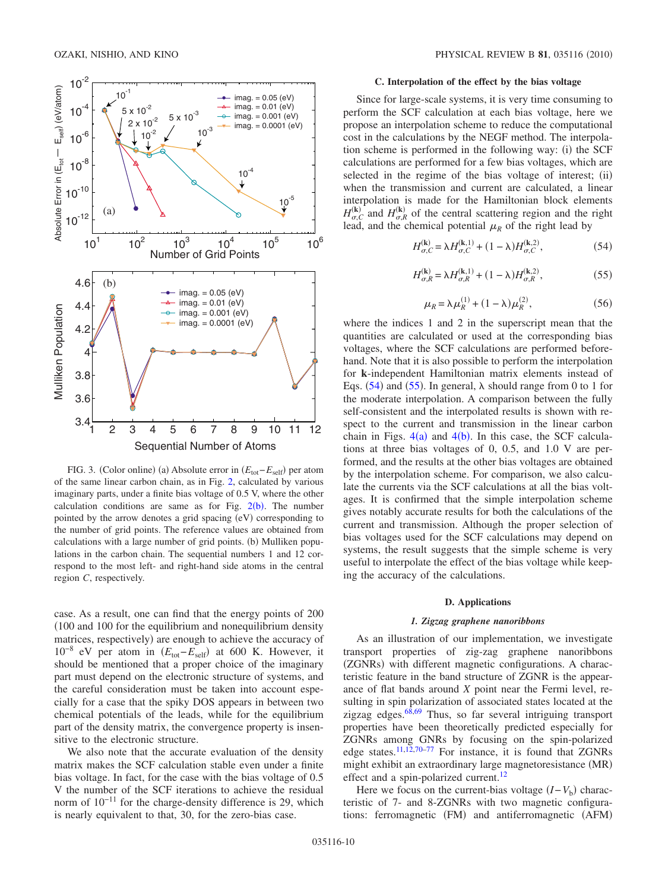<span id="page-9-0"></span>

FIG. 3. (Color online) (a) Absolute error in  $(E<sub>tot</sub>−E<sub>self</sub>)$  per atom of the same linear carbon chain, as in Fig. [2,](#page-8-0) calculated by various imaginary parts, under a finite bias voltage of 0.5 V, where the other calculation conditions are same as for Fig.  $2(b)$  $2(b)$ . The number pointed by the arrow denotes a grid spacing (eV) corresponding to the number of grid points. The reference values are obtained from calculations with a large number of grid points. (b) Mulliken populations in the carbon chain. The sequential numbers 1 and 12 correspond to the most left- and right-hand side atoms in the central region *C*, respectively.

case. As a result, one can find that the energy points of 200 100 and 100 for the equilibrium and nonequilibrium density matrices, respectively) are enough to achieve the accuracy of  $10^{-8}$  eV per atom in  $(E_{\text{tot}}-E_{\text{self}})$  at 600 K. However, it should be mentioned that a proper choice of the imaginary part must depend on the electronic structure of systems, and the careful consideration must be taken into account especially for a case that the spiky DOS appears in between two chemical potentials of the leads, while for the equilibrium part of the density matrix, the convergence property is insensitive to the electronic structure.

We also note that the accurate evaluation of the density matrix makes the SCF calculation stable even under a finite bias voltage. In fact, for the case with the bias voltage of 0.5 V the number of the SCF iterations to achieve the residual norm of  $10^{-11}$  for the charge-density difference is 29, which is nearly equivalent to that, 30, for the zero-bias case.

#### **C. Interpolation of the effect by the bias voltage**

Since for large-scale systems, it is very time consuming to perform the SCF calculation at each bias voltage, here we propose an interpolation scheme to reduce the computational cost in the calculations by the NEGF method. The interpolation scheme is performed in the following way: (i) the SCF calculations are performed for a few bias voltages, which are selected in the regime of the bias voltage of interest; (ii) when the transmission and current are calculated, a linear interpolation is made for the Hamiltonian block elements  $H_{\sigma,C}^{(k)}$  and  $H_{\sigma,R}^{(k)}$  of the central scattering region and the right lead, and the chemical potential  $\mu_R$  of the right lead by

<span id="page-9-1"></span>
$$
H_{\sigma,C}^{(k)} = \lambda H_{\sigma,C}^{(k,1)} + (1 - \lambda) H_{\sigma,C}^{(k,2)},
$$
\n(54)

$$
H_{\sigma,R}^{(k)} = \lambda H_{\sigma,R}^{(k,1)} + (1 - \lambda) H_{\sigma,R}^{(k,2)},
$$
\n(55)

$$
\mu_R = \lambda \mu_R^{(1)} + (1 - \lambda) \mu_R^{(2)},
$$
\n(56)

<span id="page-9-2"></span>where the indices 1 and 2 in the superscript mean that the quantities are calculated or used at the corresponding bias voltages, where the SCF calculations are performed beforehand. Note that it is also possible to perform the interpolation for **k**-independent Hamiltonian matrix elements instead of Eqs.  $(54)$  $(54)$  $(54)$  and  $(55)$  $(55)$  $(55)$ . In general,  $\lambda$  should range from 0 to 1 for the moderate interpolation. A comparison between the fully self-consistent and the interpolated results is shown with respect to the current and transmission in the linear carbon chain in Figs.  $4(a)$  $4(a)$  and  $4(b)$ . In this case, the SCF calculations at three bias voltages of 0, 0.5, and 1.0 V are performed, and the results at the other bias voltages are obtained by the interpolation scheme. For comparison, we also calculate the currents via the SCF calculations at all the bias voltages. It is confirmed that the simple interpolation scheme gives notably accurate results for both the calculations of the current and transmission. Although the proper selection of bias voltages used for the SCF calculations may depend on systems, the result suggests that the simple scheme is very useful to interpolate the effect of the bias voltage while keeping the accuracy of the calculations.

#### **D. Applications**

#### *1. Zigzag graphene nanoribbons*

As an illustration of our implementation, we investigate transport properties of zig-zag graphene nanoribbons (ZGNRs) with different magnetic configurations. A characteristic feature in the band structure of ZGNR is the appearance of flat bands around *X* point near the Fermi level, resulting in spin polarization of associated states located at the zigzag edges. $68,69$  $68,69$  Thus, so far several intriguing transport properties have been theoretically predicted especially for ZGNRs among GNRs by focusing on the spin-polarized edge states.<sup>11[,12](#page-16-7)[,70–](#page-17-40)[77](#page-18-0)</sup> For instance, it is found that ZGNRs might exhibit an extraordinary large magnetoresistance (MR) effect and a spin-polarized current.<sup>12</sup>

Here we focus on the current-bias voltage  $(I - V_b)$  characteristic of 7- and 8-ZGNRs with two magnetic configurations: ferromagnetic (FM) and antiferromagnetic (AFM)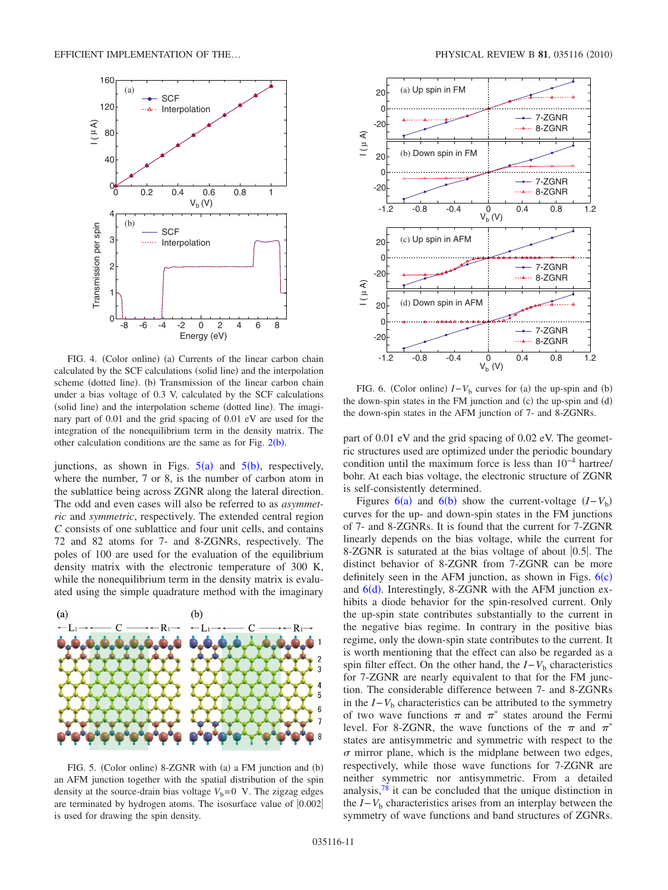<span id="page-10-0"></span>

FIG. 4. (Color online) (a) Currents of the linear carbon chain calculated by the SCF calculations (solid line) and the interpolation scheme (dotted line). (b) Transmission of the linear carbon chain under a bias voltage of 0.3 V, calculated by the SCF calculations (solid line) and the interpolation scheme (dotted line). The imaginary part of 0.01 and the grid spacing of 0.01 eV are used for the integration of the nonequilibrium term in the density matrix. The other calculation conditions are the same as for Fig.  $2(b)$  $2(b)$  $2(b)$ .

junctions, as shown in Figs.  $5(a)$  $5(a)$  and  $5(b)$ , respectively, where the number, 7 or 8, is the number of carbon atom in the sublattice being across ZGNR along the lateral direction. The odd and even cases will also be referred to as *asymmetric* and *symmetric*, respectively. The extended central region *C* consists of one sublattice and four unit cells, and contains 72 and 82 atoms for 7- and 8-ZGNRs, respectively. The poles of 100 are used for the evaluation of the equilibrium density matrix with the electronic temperature of 300 K, while the nonequilibrium term in the density matrix is evaluated using the simple quadrature method with the imaginary

<span id="page-10-1"></span>

FIG. 5. (Color online) 8-ZGNR with (a) a FM junction and (b) an AFM junction together with the spatial distribution of the spin density at the source-drain bias voltage  $V_b$ = 0 V. The zigzag edges are terminated by hydrogen atoms. The isosurface value of  $|0.002|$ is used for drawing the spin density.

<span id="page-10-2"></span>

FIG. 6. (Color online)  $I - V_b$  curves for (a) the up-spin and (b) the down-spin states in the FM junction and  $(c)$  the up-spin and  $(d)$ the down-spin states in the AFM junction of 7- and 8-ZGNRs.

part of 0.01 eV and the grid spacing of 0.02 eV. The geometric structures used are optimized under the periodic boundary condition until the maximum force is less than 10−4 hartree/ bohr. At each bias voltage, the electronic structure of ZGNR is self-consistently determined.

Figures  $6(a)$  $6(a)$  and  $6(b)$  show the current-voltage  $(I - V_b)$ curves for the up- and down-spin states in the FM junctions of 7- and 8-ZGNRs. It is found that the current for 7-ZGNR linearly depends on the bias voltage, while the current for 8-ZGNR is saturated at the bias voltage of about  $|0.5|$ . The distinct behavior of 8-ZGNR from 7-ZGNR can be more definitely seen in the AFM junction, as shown in Figs.  $6(c)$  $6(c)$ and [6](#page-10-2)(d). Interestingly, 8-ZGNR with the AFM junction exhibits a diode behavior for the spin-resolved current. Only the up-spin state contributes substantially to the current in the negative bias regime. In contrary in the positive bias regime, only the down-spin state contributes to the current. It is worth mentioning that the effect can also be regarded as a spin filter effect. On the other hand, the  $I - V_b$  characteristics for 7-ZGNR are nearly equivalent to that for the FM junction. The considerable difference between 7- and 8-ZGNRs in the  $I-V<sub>b</sub>$  characteristics can be attributed to the symmetry of two wave functions  $\pi$  and  $\pi^*$  states around the Fermi level. For 8-ZGNR, the wave functions of the  $\pi$  and  $\pi^*$ states are antisymmetric and symmetric with respect to the  $\sigma$  mirror plane, which is the midplane between two edges, respectively, while those wave functions for 7-ZGNR are neither symmetric nor antisymmetric. From a detailed analysis[,78](#page-18-1) it can be concluded that the unique distinction in the  $I - V_b$  characteristics arises from an interplay between the symmetry of wave functions and band structures of ZGNRs.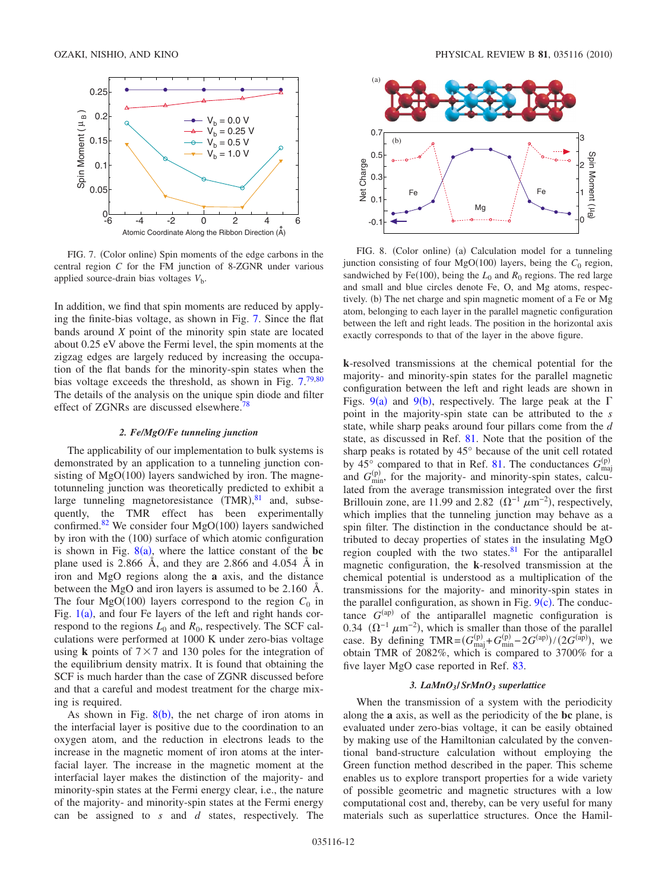<span id="page-11-0"></span>

FIG. 7. (Color online) Spin moments of the edge carbons in the central region *C* for the FM junction of 8-ZGNR under various applied source-drain bias voltages  $V<sub>b</sub>$ .

In addition, we find that spin moments are reduced by applying the finite-bias voltage, as shown in Fig. [7.](#page-11-0) Since the flat bands around *X* point of the minority spin state are located about 0.25 eV above the Fermi level, the spin moments at the zigzag edges are largely reduced by increasing the occupation of the flat bands for the minority-spin states when the bias voltage exceeds the threshold, as shown in Fig.  $7^{79,80}$  $7^{79,80}$  $7^{79,80}$  $7^{79,80}$ The details of the analysis on the unique spin diode and filter effect of ZGNRs are discussed elsewhere.<sup>78</sup>

#### *2. Fe/MgO/Fe tunneling junction*

The applicability of our implementation to bulk systems is demonstrated by an application to a tunneling junction consisting of MgO(100) layers sandwiched by iron. The magnetotunneling junction was theoretically predicted to exhibit a large tunneling magnetoresistance  $(TMR)$ , and, subsequently, the TMR effect has been experimentally confirmed. $82$  We consider four MgO(100) layers sandwiched by iron with the (100) surface of which atomic configuration is shown in Fig.  $8(a)$  $8(a)$ , where the lattice constant of the **bc** plane used is 2.866 Å, and they are 2.866 and 4.054 Å in iron and MgO regions along the **a** axis, and the distance between the MgO and iron layers is assumed to be 2.160 Å. The four MgO(100) layers correspond to the region  $C_0$  in Fig.  $1(a)$  $1(a)$ , and four Fe layers of the left and right hands correspond to the regions  $L_0$  and  $R_0$ , respectively. The SCF calculations were performed at 1000 K under zero-bias voltage using **k** points of  $7 \times 7$  and 130 poles for the integration of the equilibrium density matrix. It is found that obtaining the SCF is much harder than the case of ZGNR discussed before and that a careful and modest treatment for the charge mixing is required.

As shown in Fig.  $8(b)$  $8(b)$ , the net charge of iron atoms in the interfacial layer is positive due to the coordination to an oxygen atom, and the reduction in electrons leads to the increase in the magnetic moment of iron atoms at the interfacial layer. The increase in the magnetic moment at the interfacial layer makes the distinction of the majority- and minority-spin states at the Fermi energy clear, i.e., the nature of the majority- and minority-spin states at the Fermi energy can be assigned to *s* and *d* states, respectively. The

<span id="page-11-1"></span>

FIG. 8. (Color online) (a) Calculation model for a tunneling junction consisting of four MgO(100) layers, being the  $C_0$  region, sandwiched by Fe $(100)$ , being the  $L_0$  and  $R_0$  regions. The red large and small and blue circles denote Fe, O, and Mg atoms, respectively. (b) The net charge and spin magnetic moment of a Fe or Mg atom, belonging to each layer in the parallel magnetic configuration between the left and right leads. The position in the horizontal axis exactly corresponds to that of the layer in the above figure.

**k**-resolved transmissions at the chemical potential for the majority- and minority-spin states for the parallel magnetic configuration between the left and right leads are shown in Figs.  $9(a)$  $9(a)$  and  $9(b)$ , respectively. The large peak at the  $\Gamma$ point in the majority-spin state can be attributed to the *s* state, while sharp peaks around four pillars come from the *d* state, as discussed in Ref. [81.](#page-18-4) Note that the position of the sharp peaks is rotated by 45° because of the unit cell rotated by  $45^{\circ}$  compared to that in Ref. [81.](#page-18-4) The conductances  $G_{\text{maj}}^{(p)}$ and  $G_{\min}^{(p)}$ , for the majority- and minority-spin states, calculated from the average transmission integrated over the first Brillouin zone, are 11.99 and 2.82  $(\Omega^{-1} \mu m^{-2})$ , respectively, which implies that the tunneling junction may behave as a spin filter. The distinction in the conductance should be attributed to decay properties of states in the insulating MgO region coupled with the two states. $81$  For the antiparallel magnetic configuration, the **k**-resolved transmission at the chemical potential is understood as a multiplication of the transmissions for the majority- and minority-spin states in the parallel configuration, as shown in Fig.  $9(c)$  $9(c)$ . The conductance  $G^{(ap)}$  of the antiparallel magnetic configuration is 0.34 ( $\Omega^{-1}$   $\mu$ m<sup>-2</sup>), which is smaller than those of the parallel case. By defining  $\text{TMR} = (G_{\text{maj}}^{(p)} + G_{\text{min}}^{(p)} - 2G^{(\text{ap})}) / (2G^{(\text{ap})})$ , we obtain TMR of 2082%, which is compared to 3700% for a five layer MgO case reported in Ref. [83.](#page-18-6)

## *3. LaMnO3* **Õ***SrMnO3 superlattice*

When the transmission of a system with the periodicity along the **a** axis, as well as the periodicity of the **bc** plane, is evaluated under zero-bias voltage, it can be easily obtained by making use of the Hamiltonian calculated by the conventional band-structure calculation without employing the Green function method described in the paper. This scheme enables us to explore transport properties for a wide variety of possible geometric and magnetic structures with a low computational cost and, thereby, can be very useful for many materials such as superlattice structures. Once the Hamil-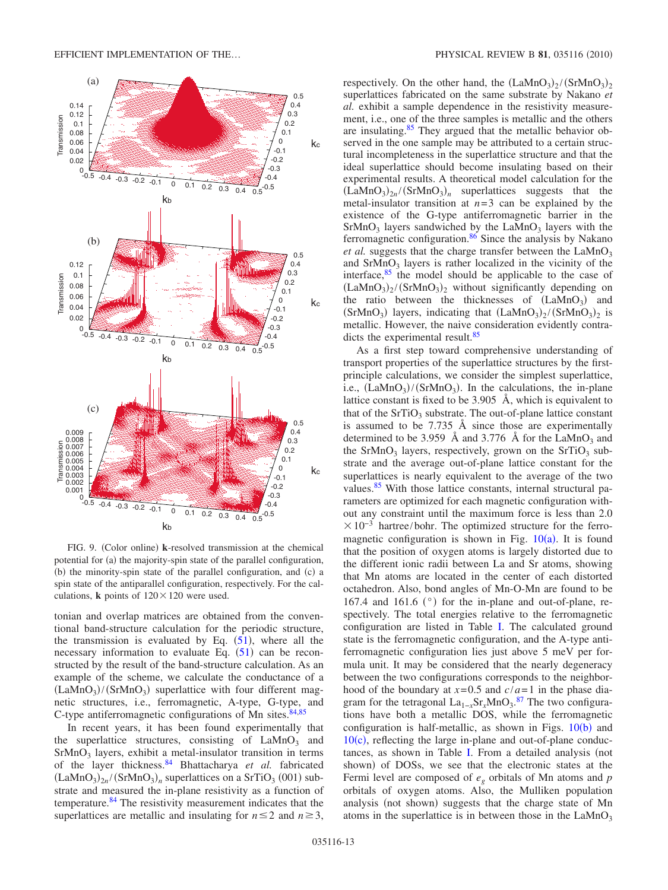<span id="page-12-0"></span>

FIG. 9. (Color online) k-resolved transmission at the chemical potential for (a) the majority-spin state of the parallel configuration, (b) the minority-spin state of the parallel configuration, and (c) a spin state of the antiparallel configuration, respectively. For the calculations, **k** points of  $120 \times 120$  were used.

tonian and overlap matrices are obtained from the conventional band-structure calculation for the periodic structure, the transmission is evaluated by Eq.  $(51)$  $(51)$  $(51)$ , where all the necessary information to evaluate Eq.  $(51)$  $(51)$  $(51)$  can be reconstructed by the result of the band-structure calculation. As an example of the scheme, we calculate the conductance of a  $(LaMnO<sub>3</sub>)/(SrMnO<sub>3</sub>)$  superlattice with four different magnetic structures, i.e., ferromagnetic, A-type, G-type, and C-type antiferromagnetic configurations of Mn sites. $84,85$  $84,85$ 

In recent years, it has been found experimentally that the superlattice structures, consisting of  $LaMnO<sub>3</sub>$  and  $SrMnO<sub>3</sub>$  layers, exhibit a metal-insulator transition in terms of the layer thickness[.84](#page-18-7) Bhattacharya *et al.* fabricated  $(LaMnO<sub>3</sub>)<sub>2n</sub>$ / $(SrMnO<sub>3</sub>)<sub>n</sub>$  superlattices on a SrTiO<sub>3</sub> (001) substrate and measured the in-plane resistivity as a function of temperature[.84](#page-18-7) The resistivity measurement indicates that the superlattices are metallic and insulating for  $n \le 2$  and  $n \ge 3$ ,

respectively. On the other hand, the  $(LaMnO<sub>3</sub>)<sub>2</sub>/(SrMnO<sub>3</sub>)<sub>2</sub>$ superlattices fabricated on the same substrate by Nakano *et al.* exhibit a sample dependence in the resistivity measurement, i.e., one of the three samples is metallic and the others are insulating[.85](#page-18-8) They argued that the metallic behavior observed in the one sample may be attributed to a certain structural incompleteness in the superlattice structure and that the ideal superlattice should become insulating based on their experimental results. A theoretical model calculation for the  $(LaMnO<sub>3</sub>)<sub>2n</sub>$ / $(SrMnO<sub>3</sub>)<sub>n</sub>$  superlattices suggests that the metal-insulator transition at  $n=3$  can be explained by the existence of the G-type antiferromagnetic barrier in the  $SrMnO<sub>3</sub>$  layers sandwiched by the LaMn $O<sub>3</sub>$  layers with the ferromagnetic configuration. $86$  Since the analysis by Nakano *et al.* suggests that the charge transfer between the  $LaMnO<sub>3</sub>$ and  $SrMnO<sub>3</sub>$  layers is rather localized in the vicinity of the interface, $85$  the model should be applicable to the case of  $(LaMnO<sub>3</sub>)<sub>2</sub>$ /(SrMnO<sub>3</sub>)<sub>2</sub> without significantly depending on the ratio between the thicknesses of  $(LaMnO<sub>3</sub>)$  and  $(SrMnO<sub>3</sub>)$  layers, indicating that  $(LaMnO<sub>3</sub>)<sub>2</sub>/(SrMnO<sub>3</sub>)<sub>2</sub>$  is metallic. However, the naive consideration evidently contradicts the experimental result.<sup>85</sup>

As a first step toward comprehensive understanding of transport properties of the superlattice structures by the firstprinciple calculations, we consider the simplest superlattice, i.e.,  $(LaMnO<sub>3</sub>)/(SrMnO<sub>3</sub>)$ . In the calculations, the in-plane lattice constant is fixed to be 3.905 Å, which is equivalent to that of the  $SrTiO<sub>3</sub>$  substrate. The out-of-plane lattice constant is assumed to be 7.735 Å since those are experimentally determined to be 3.959 Å and 3.776 Å for the LaMnO<sub>3</sub> and the SrMnO<sub>3</sub> layers, respectively, grown on the SrTiO<sub>3</sub> substrate and the average out-of-plane lattice constant for the superlattices is nearly equivalent to the average of the two values.<sup>85</sup> With those lattice constants, internal structural parameters are optimized for each magnetic configuration without any constraint until the maximum force is less than 2.0  $\times 10^{-3}$  hartree/bohr. The optimized structure for the ferromagnetic configuration is shown in Fig.  $10(a)$  $10(a)$ . It is found that the position of oxygen atoms is largely distorted due to the different ionic radii between La and Sr atoms, showing that Mn atoms are located in the center of each distorted octahedron. Also, bond angles of Mn-O-Mn are found to be 167.4 and 161.6  $(°)$  for the in-plane and out-of-plane, respectively. The total energies relative to the ferromagnetic configuration are listed in Table [I.](#page-13-1) The calculated ground state is the ferromagnetic configuration, and the A-type antiferromagnetic configuration lies just above 5 meV per formula unit. It may be considered that the nearly degeneracy between the two configurations corresponds to the neighborhood of the boundary at  $x=0.5$  and  $c/a=1$  in the phase diagram for the tetragonal La<sub>1−*x*</sub>Sr<sub>*x*</sub>MnO<sub>3</sub>.<sup>[87](#page-18-10)</sup> The two configurations have both a metallic DOS, while the ferromagnetic configuration is half-metallic, as shown in Figs.  $10(b)$  $10(b)$  and [10](#page-13-0)(c), reflecting the large in-plane and out-of-plane conduc-tances, as shown in Table [I.](#page-13-1) From a detailed analysis (not shown) of DOSs, we see that the electronic states at the Fermi level are composed of *eg* orbitals of Mn atoms and *p* orbitals of oxygen atoms. Also, the Mulliken population analysis (not shown) suggests that the charge state of Mn atoms in the superlattice is in between those in the  $LaMnO<sub>3</sub>$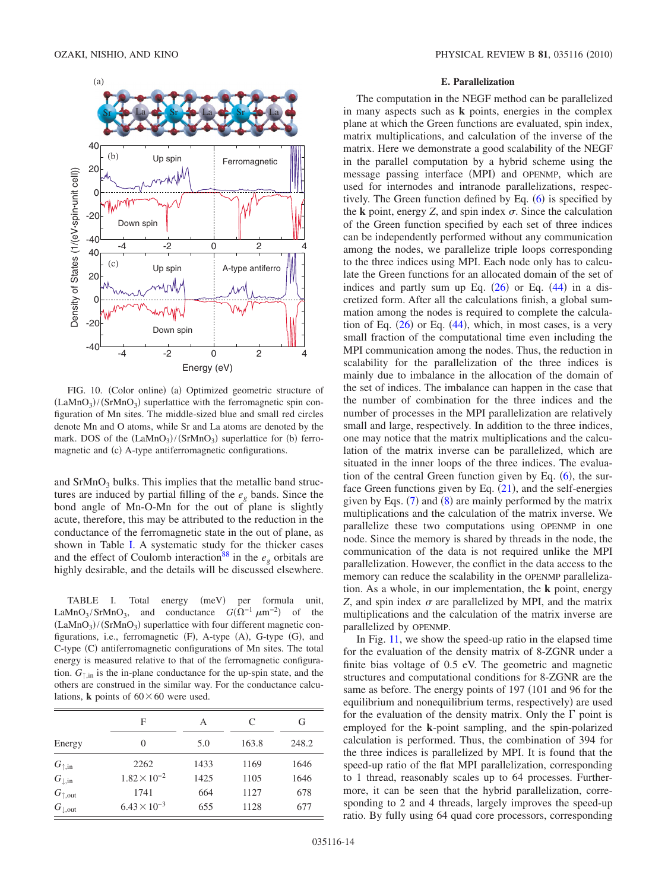<span id="page-13-0"></span>

FIG. 10. (Color online) (a) Optimized geometric structure of  $(LaMnO<sub>3</sub>)/(SrMnO<sub>3</sub>)$  superlattice with the ferromagnetic spin configuration of Mn sites. The middle-sized blue and small red circles denote Mn and O atoms, while Sr and La atoms are denoted by the mark. DOS of the  $(LaMnO<sub>3</sub>)/(SrMnO<sub>3</sub>)$  superlattice for (b) ferromagnetic and (c) A-type antiferromagnetic configurations.

and  $SrMnO<sub>3</sub>$  bulks. This implies that the metallic band structures are induced by partial filling of the *eg* bands. Since the bond angle of Mn-O-Mn for the out of plane is slightly acute, therefore, this may be attributed to the reduction in the conductance of the ferromagnetic state in the out of plane, as shown in Table [I.](#page-13-1) A systematic study for the thicker cases and the effect of Coulomb interaction<sup>88</sup> in the  $e<sub>g</sub>$  orbitals are highly desirable, and the details will be discussed elsewhere.

<span id="page-13-1"></span>TABLE I. Total energy (meV) per formula unit, LaMnO<sub>3</sub>/SrMnO<sub>3</sub>, and conductance  $G(\Omega^{-1} \mu m^{-2})$  of the  $(LaMnO<sub>3</sub>)/(SrMnO<sub>3</sub>)$  superlattice with four different magnetic configurations, i.e., ferromagnetic (F), A-type (A), G-type (G), and C-type (C) antiferromagnetic configurations of Mn sites. The total energy is measured relative to that of the ferromagnetic configuration.  $G_{\uparrow}$  is the in-plane conductance for the up-spin state, and the others are construed in the similar way. For the conductance calculations, **k** points of  $60 \times 60$  were used.

|                              | F                     | А    | C     | G     |
|------------------------------|-----------------------|------|-------|-------|
| Energy                       | 0                     | 5.0  | 163.8 | 248.2 |
| $G_{\uparrow, \text{in}}$    | 2262                  | 1433 | 1169  | 1646  |
| $G_{\downarrow,\mathrm{in}}$ | $1.82 \times 10^{-2}$ | 1425 | 1105  | 1646  |
| $G_{\uparrow, \text{out}}$   | 1741                  | 664  | 1127  | 678   |
| $G_{\downarrow, \text{out}}$ | $6.43 \times 10^{-3}$ | 655  | 1128  | 677   |

## **E. Parallelization**

The computation in the NEGF method can be parallelized in many aspects such as **k** points, energies in the complex plane at which the Green functions are evaluated, spin index, matrix multiplications, and calculation of the inverse of the matrix. Here we demonstrate a good scalability of the NEGF in the parallel computation by a hybrid scheme using the message passing interface (MPI) and OPENMP, which are used for internodes and intranode parallelizations, respectively. The Green function defined by Eq.  $(6)$  $(6)$  $(6)$  is specified by the **k** point, energy *Z*, and spin index  $\sigma$ . Since the calculation of the Green function specified by each set of three indices can be independently performed without any communication among the nodes, we parallelize triple loops corresponding to the three indices using MPI. Each node only has to calculate the Green functions for an allocated domain of the set of indices and partly sum up Eq.  $(26)$  $(26)$  $(26)$  or Eq.  $(44)$  $(44)$  $(44)$  in a discretized form. After all the calculations finish, a global summation among the nodes is required to complete the calculation of Eq.  $(26)$  $(26)$  $(26)$  or Eq.  $(44)$  $(44)$  $(44)$ , which, in most cases, is a very small fraction of the computational time even including the MPI communication among the nodes. Thus, the reduction in scalability for the parallelization of the three indices is mainly due to imbalance in the allocation of the domain of the set of indices. The imbalance can happen in the case that the number of combination for the three indices and the number of processes in the MPI parallelization are relatively small and large, respectively. In addition to the three indices, one may notice that the matrix multiplications and the calculation of the matrix inverse can be parallelized, which are situated in the inner loops of the three indices. The evaluation of the central Green function given by Eq.  $(6)$  $(6)$  $(6)$ , the surface Green functions given by Eq.  $(21)$  $(21)$  $(21)$ , and the self-energies given by Eqs.  $(7)$  $(7)$  $(7)$  and  $(8)$  $(8)$  $(8)$  are mainly performed by the matrix multiplications and the calculation of the matrix inverse. We parallelize these two computations using OPENMP in one node. Since the memory is shared by threads in the node, the communication of the data is not required unlike the MPI parallelization. However, the conflict in the data access to the memory can reduce the scalability in the OPENMP parallelization. As a whole, in our implementation, the **k** point, energy *Z*, and spin index  $\sigma$  are parallelized by MPI, and the matrix multiplications and the calculation of the matrix inverse are parallelized by OPENMP.

In Fig. [11,](#page-14-1) we show the speed-up ratio in the elapsed time for the evaluation of the density matrix of 8-ZGNR under a finite bias voltage of 0.5 eV. The geometric and magnetic structures and computational conditions for 8-ZGNR are the same as before. The energy points of 197 (101 and 96 for the equilibrium and nonequilibrium terms, respectively) are used for the evaluation of the density matrix. Only the  $\Gamma$  point is employed for the **k**-point sampling, and the spin-polarized calculation is performed. Thus, the combination of 394 for the three indices is parallelized by MPI. It is found that the speed-up ratio of the flat MPI parallelization, corresponding to 1 thread, reasonably scales up to 64 processes. Furthermore, it can be seen that the hybrid parallelization, corresponding to 2 and 4 threads, largely improves the speed-up ratio. By fully using 64 quad core processors, corresponding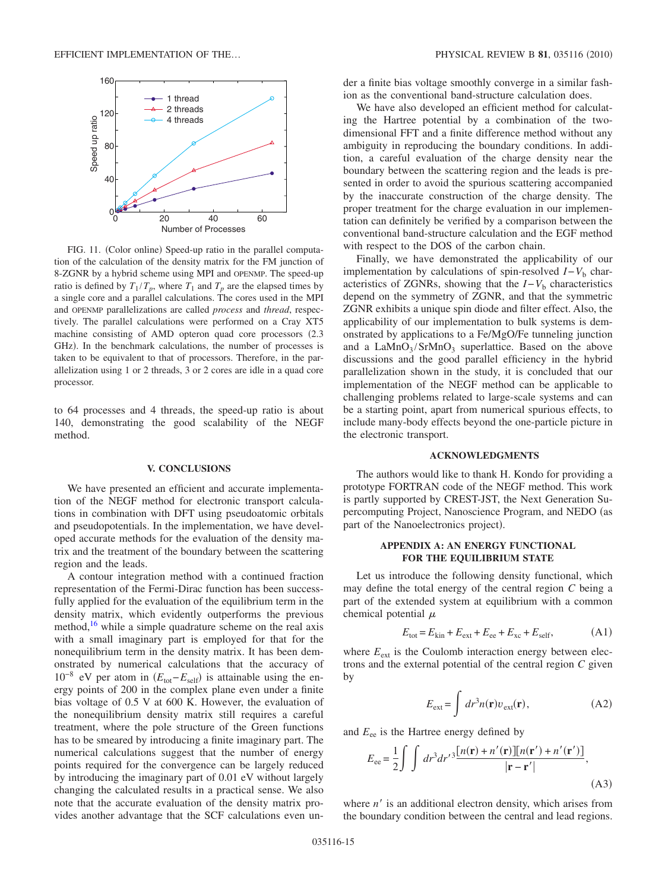<span id="page-14-1"></span>

FIG. 11. (Color online) Speed-up ratio in the parallel computation of the calculation of the density matrix for the FM junction of 8-ZGNR by a hybrid scheme using MPI and OPENMP. The speed-up ratio is defined by  $T_1/T_p$ , where  $T_1$  and  $T_p$  are the elapsed times by a single core and a parallel calculations. The cores used in the MPI and OPENMP parallelizations are called *process* and *thread*, respectively. The parallel calculations were performed on a Cray XT5 machine consisting of AMD opteron quad core processors  $(2.3)$ GHz). In the benchmark calculations, the number of processes is taken to be equivalent to that of processors. Therefore, in the parallelization using 1 or 2 threads, 3 or 2 cores are idle in a quad core processor.

to 64 processes and 4 threads, the speed-up ratio is about 140, demonstrating the good scalability of the NEGF method.

#### **V. CONCLUSIONS**

<span id="page-14-0"></span>We have presented an efficient and accurate implementation of the NEGF method for electronic transport calculations in combination with DFT using pseudoatomic orbitals and pseudopotentials. In the implementation, we have developed accurate methods for the evaluation of the density matrix and the treatment of the boundary between the scattering region and the leads.

A contour integration method with a continued fraction representation of the Fermi-Dirac function has been successfully applied for the evaluation of the equilibrium term in the density matrix, which evidently outperforms the previous method,  $16$  while a simple quadrature scheme on the real axis with a small imaginary part is employed for that for the nonequilibrium term in the density matrix. It has been demonstrated by numerical calculations that the accuracy of  $10^{-8}$  eV per atom in  $(E_{\text{tot}}-E_{\text{self}})$  is attainable using the energy points of 200 in the complex plane even under a finite bias voltage of 0.5 V at 600 K. However, the evaluation of the nonequilibrium density matrix still requires a careful treatment, where the pole structure of the Green functions has to be smeared by introducing a finite imaginary part. The numerical calculations suggest that the number of energy points required for the convergence can be largely reduced by introducing the imaginary part of 0.01 eV without largely changing the calculated results in a practical sense. We also note that the accurate evaluation of the density matrix provides another advantage that the SCF calculations even under a finite bias voltage smoothly converge in a similar fashion as the conventional band-structure calculation does.

We have also developed an efficient method for calculating the Hartree potential by a combination of the twodimensional FFT and a finite difference method without any ambiguity in reproducing the boundary conditions. In addition, a careful evaluation of the charge density near the boundary between the scattering region and the leads is presented in order to avoid the spurious scattering accompanied by the inaccurate construction of the charge density. The proper treatment for the charge evaluation in our implementation can definitely be verified by a comparison between the conventional band-structure calculation and the EGF method with respect to the DOS of the carbon chain.

Finally, we have demonstrated the applicability of our implementation by calculations of spin-resolved  $I-V<sub>b</sub>$  characteristics of ZGNRs, showing that the  $I - V_b$  characteristics depend on the symmetry of ZGNR, and that the symmetric ZGNR exhibits a unique spin diode and filter effect. Also, the applicability of our implementation to bulk systems is demonstrated by applications to a Fe/MgO/Fe tunneling junction and a  $\text{LaMnO}_3/\text{SrMnO}_3$  superlattice. Based on the above discussions and the good parallel efficiency in the hybrid parallelization shown in the study, it is concluded that our implementation of the NEGF method can be applicable to challenging problems related to large-scale systems and can be a starting point, apart from numerical spurious effects, to include many-body effects beyond the one-particle picture in the electronic transport.

## **ACKNOWLEDGMENTS**

The authors would like to thank H. Kondo for providing a prototype FORTRAN code of the NEGF method. This work is partly supported by CREST-JST, the Next Generation Supercomputing Project, Nanoscience Program, and NEDO (as part of the Nanoelectronics project).

## **APPENDIX A: AN ENERGY FUNCTIONAL FOR THE EQUILIBRIUM STATE**

Let us introduce the following density functional, which may define the total energy of the central region *C* being a part of the extended system at equilibrium with a common chemical potential  $\mu$ 

$$
E_{\text{tot}} = E_{\text{kin}} + E_{\text{ext}} + E_{\text{ee}} + E_{\text{xc}} + E_{\text{self}},\tag{A1}
$$

<span id="page-14-2"></span>where  $E_{ext}$  is the Coulomb interaction energy between electrons and the external potential of the central region *C* given by

$$
E_{\text{ext}} = \int dr^3 n(\mathbf{r}) v_{\text{ext}}(\mathbf{r}), \tag{A2}
$$

and  $E_{ee}$  is the Hartree energy defined by

$$
E_{\rm ee} = \frac{1}{2} \int \int dr^3 dr'^3 \frac{[n(\mathbf{r}) + n'(\mathbf{r})][n(\mathbf{r'}) + n'(\mathbf{r'})]}{|\mathbf{r} - \mathbf{r'}|},\tag{A3}
$$

where  $n'$  is an additional electron density, which arises from the boundary condition between the central and lead regions.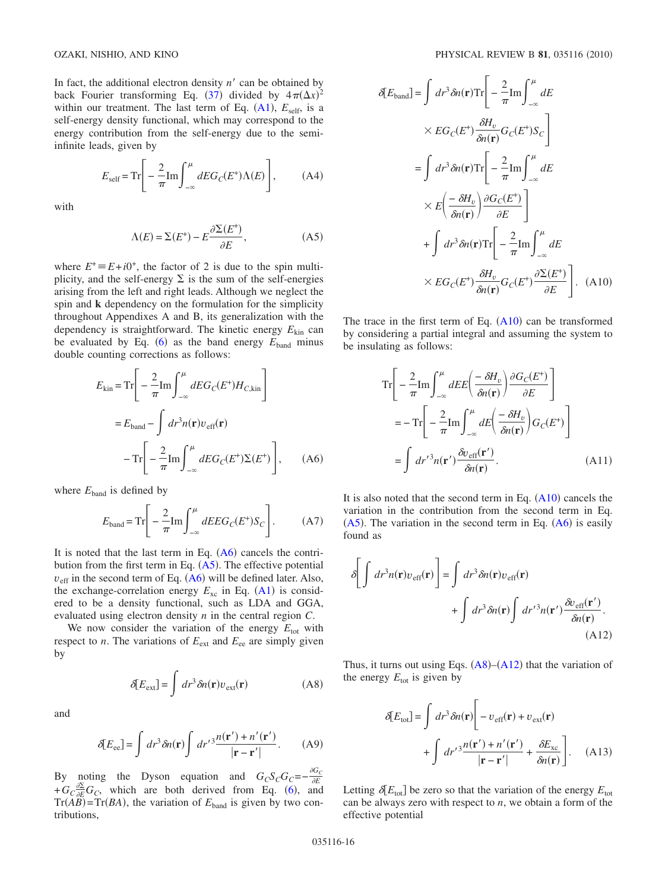In fact, the additional electron density  $n'$  can be obtained by back Fourier transforming Eq. ([37](#page-5-2)) divided by  $4\pi(\Delta x)^2$ within our treatment. The last term of Eq.  $(A1)$  $(A1)$  $(A1)$ ,  $E_{\text{self}}$ , is a self-energy density functional, which may correspond to the energy contribution from the self-energy due to the semiinfinite leads, given by

$$
E_{\text{self}} = \text{Tr}\left[-\frac{2}{\pi}\text{Im}\int_{-\infty}^{\mu} dE G_C(E^+) \Lambda(E)\right],\tag{A4}
$$

<span id="page-15-1"></span>with

$$
\Lambda(E) = \Sigma(E^{+}) - E \frac{\partial \Sigma(E^{+})}{\partial E}, \qquad (A5)
$$

where  $E^+ \equiv E + i0^+$ , the factor of 2 is due to the spin multiplicity, and the self-energy  $\Sigma$  is the sum of the self-energies arising from the left and right leads. Although we neglect the spin and **k** dependency on the formulation for the simplicity throughout Appendixes A and B, its generalization with the dependency is straightforward. The kinetic energy  $E_{kin}$  can be evaluated by Eq.  $(6)$  $(6)$  $(6)$  as the band energy  $E_{band}$  minus double counting corrections as follows:

<span id="page-15-0"></span>
$$
E_{\text{kin}} = \text{Tr} \left[ -\frac{2}{\pi} \text{Im} \int_{-\infty}^{\mu} dE G_C(E^+) H_{C,\text{kin}} \right]
$$
  
=  $E_{\text{band}} - \int dr^3 n(\mathbf{r}) v_{\text{eff}}(\mathbf{r})$   
-  $\text{Tr} \left[ -\frac{2}{\pi} \text{Im} \int_{-\infty}^{\mu} dE G_C(E^+) \Sigma(E^+) \right],$  (A6)

where  $E_{\text{band}}$  is defined by

$$
E_{\text{band}} = \text{Tr} \Bigg[ -\frac{2}{\pi} \text{Im} \int_{-\infty}^{\mu} dE E G_C(E^+) S_C \Bigg]. \tag{A7}
$$

It is noted that the last term in Eq.  $(A6)$  $(A6)$  $(A6)$  cancels the contribution from the first term in Eq.  $(A5)$  $(A5)$  $(A5)$ . The effective potential  $v_{\text{eff}}$  in the second term of Eq. ([A6](#page-15-0)) will be defined later. Also, the exchange-correlation energy  $E_{\text{xc}}$  in Eq. ([A1](#page-14-2)) is considered to be a density functional, such as LDA and GGA, evaluated using electron density *n* in the central region *C*.

We now consider the variation of the energy  $E_{\text{tot}}$  with respect to *n*. The variations of  $E_{ext}$  and  $E_{ee}$  are simply given by

$$
\delta[E_{\text{ext}}] = \int dr^3 \delta n(\mathbf{r}) v_{\text{ext}}(\mathbf{r})
$$
 (A8)

<span id="page-15-3"></span>and

$$
\delta[E_{\text{ee}}] = \int dr^3 \delta n(\mathbf{r}) \int dr'^3 \frac{n(\mathbf{r}') + n'(\mathbf{r}')}{|\mathbf{r} - \mathbf{r}'|}.
$$
 (A9)

By noting the Dyson equation and  $G_C S_C G_C = -\frac{\partial G_C}{\partial E}$ + $G_C \frac{\partial \Sigma}{\partial E} G_C$ , which are both derived from Eq. ([6](#page-2-1)), and  $Tr(A\overline{B}) = Tr(BA)$ , the variation of  $E_{band}$  is given by two contributions,

<span id="page-15-2"></span>
$$
\delta[E_{\text{band}}] = \int dr^3 \delta n(\mathbf{r}) \text{Tr} \left[ -\frac{2}{\pi} \text{Im} \int_{-\infty}^{\mu} dE \right]
$$

$$
\times EG_C(E^+) \frac{\delta H_v}{\delta n(\mathbf{r})} G_C(E^+) S_C
$$

$$
= \int dr^3 \delta n(\mathbf{r}) \text{Tr} \left[ -\frac{2}{\pi} \text{Im} \int_{-\infty}^{\mu} dE \right]
$$

$$
\times E \left( \frac{-\delta H_v}{\delta n(\mathbf{r})} \right) \frac{\partial G_C(E^+)}{\partial E}
$$

$$
+ \int dr^3 \delta n(\mathbf{r}) \text{Tr} \left[ -\frac{2}{\pi} \text{Im} \int_{-\infty}^{\mu} dE \right]
$$

$$
\times EG_C(E^+) \frac{\delta H_v}{\delta n(\mathbf{r})} G_C(E^+) \frac{\partial \Sigma(E^+)}{\partial E} \right]. \quad (A10)
$$

The trace in the first term of Eq.  $(A10)$  $(A10)$  $(A10)$  can be transformed by considering a partial integral and assuming the system to be insulating as follows:

$$
\begin{split} \operatorname{Tr} & \left[ -\frac{2}{\pi} \operatorname{Im} \int_{-\infty}^{\mu} dE E \left( \frac{-\delta H_{v}}{\delta n(\mathbf{r})} \right) \frac{\partial G_{C}(E^{+})}{\partial E} \right] \\ & = -\operatorname{Tr} \left[ -\frac{2}{\pi} \operatorname{Im} \int_{-\infty}^{\mu} dE \left( \frac{-\delta H_{v}}{\delta n(\mathbf{r})} \right) G_{C}(E^{+}) \right] \\ & = \int dr'^{3} n(\mathbf{r}') \frac{\delta v_{\text{eff}}(\mathbf{r}')}{\delta n(\mathbf{r})}. \end{split} \tag{A11}
$$

It is also noted that the second term in Eq.  $(A10)$  $(A10)$  $(A10)$  cancels the variation in the contribution from the second term in Eq.  $(A5)$  $(A5)$  $(A5)$ . The variation in the second term in Eq.  $(A6)$  $(A6)$  $(A6)$  is easily found as

<span id="page-15-4"></span>
$$
\delta \left[ \int dr^3 n(\mathbf{r}) v_{\text{eff}}(\mathbf{r}) \right] = \int dr^3 \delta n(\mathbf{r}) v_{\text{eff}}(\mathbf{r}) + \int dr^3 \delta n(\mathbf{r}) \int dr'^3 n(\mathbf{r}') \frac{\delta v_{\text{eff}}(\mathbf{r}')}{\delta n(\mathbf{r})}.
$$
\n(A12)

Thus, it turns out using Eqs.  $(A8)$  $(A8)$  $(A8)$ – $(A12)$  $(A12)$  $(A12)$  that the variation of the energy  $E_{\text{tot}}$  is given by

$$
\delta[E_{\text{tot}}] = \int dr^3 \delta n(\mathbf{r}) \left[ -v_{\text{eff}}(\mathbf{r}) + v_{\text{ext}}(\mathbf{r}) \right]
$$

$$
+ \int dr'^3 \frac{n(\mathbf{r}') + n'(\mathbf{r}')}{|\mathbf{r} - \mathbf{r}'|} + \frac{\delta E_{\text{xc}}}{\delta n(\mathbf{r})} \right]. \quad (A13)
$$

Letting  $\delta[E_{\text{tot}}]$  be zero so that the variation of the energy  $E_{\text{tot}}$ can be always zero with respect to *n*, we obtain a form of the effective potential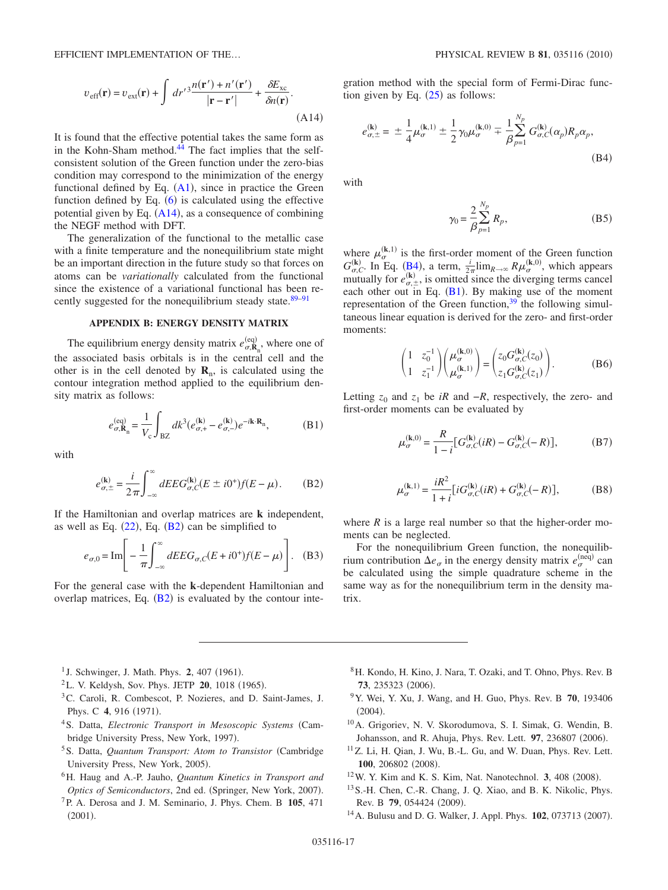<span id="page-16-14"></span>EFFICIENT IMPLEMENTATION OF THE…  $PHYSICAL REVIEW B 81, 035116 (2010)$ 

$$
v_{\text{eff}}(\mathbf{r}) = v_{\text{ext}}(\mathbf{r}) + \int dr'^3 \frac{n(\mathbf{r}') + n'(\mathbf{r}')}{|\mathbf{r} - \mathbf{r}'|} + \frac{\delta E_{\text{xc}}}{\delta n(\mathbf{r})}.
$$
\n(A14)

It is found that the effective potential takes the same form as in the Kohn-Sham method. $44$  The fact implies that the selfconsistent solution of the Green function under the zero-bias condition may correspond to the minimization of the energy functional defined by Eq.  $(A1)$  $(A1)$  $(A1)$ , since in practice the Green function defined by Eq.  $(6)$  $(6)$  $(6)$  is calculated using the effective potential given by Eq.  $(A14)$  $(A14)$  $(A14)$ , as a consequence of combining the NEGF method with DFT.

The generalization of the functional to the metallic case with a finite temperature and the nonequilibrium state might be an important direction in the future study so that forces on atoms can be *variationally* calculated from the functional since the existence of a variational functional has been recently suggested for the nonequilibrium steady state. $89-91$ 

## **APPENDIX B: ENERGY DENSITY MATRIX**

The equilibrium energy density matrix  $e_{\sigma, \mathbf{R}_n}^{(eq)}$ , where one of the associated basis orbitals is in the central cell and the other is in the cell denoted by  $\mathbf{R}_n$ , is calculated using the contour integration method applied to the equilibrium density matrix as follows:

$$
e_{\sigma,\mathbf{R}_{n}}^{(eq)} = \frac{1}{V_{c}} \int_{\text{BZ}} dk^{3} (e_{\sigma,+}^{(\mathbf{k})} - e_{\sigma,-}^{(\mathbf{k})}) e^{-i\mathbf{k}\cdot\mathbf{R}_{n}},
$$
(B1)

<span id="page-16-17"></span><span id="page-16-15"></span>with

$$
e_{\sigma,\pm}^{(k)} = \frac{i}{2\pi} \int_{-\infty}^{\infty} dE E G_{\sigma,C}^{(k)}(E \pm i0^{+}) f(E - \mu). \tag{B2}
$$

If the Hamiltonian and overlap matrices are **k** independent, as well as Eq.  $(22)$  $(22)$  $(22)$ , Eq.  $(B2)$  $(B2)$  $(B2)$  can be simplified to

$$
e_{\sigma,0} = \text{Im}\left[-\frac{1}{\pi}\int_{-\infty}^{\infty} dE E G_{\sigma,C}(E+i0^+) f(E-\mu)\right].
$$
 (B3)

For the general case with the **k**-dependent Hamiltonian and overlap matrices, Eq.  $(B2)$  $(B2)$  $(B2)$  is evaluated by the contour integration method with the special form of Fermi-Dirac function given by Eq.  $(25)$  $(25)$  $(25)$  as follows:

<span id="page-16-16"></span>
$$
e_{\sigma,\pm}^{(k)} = \pm \frac{1}{4} \mu_{\sigma}^{(k,1)} \pm \frac{1}{2} \gamma_0 \mu_{\sigma}^{(k,0)} \mp \frac{1}{\beta} \sum_{p=1}^{N_p} G_{\sigma,C}^{(k)}(\alpha_p) R_p \alpha_p,
$$
\n(B4)

with

$$
\gamma_0 = \frac{2}{\beta} \sum_{p=1}^{N_p} R_p,
$$
 (B5)

where  $\mu_{\sigma}^{(k,1)}$  is the first-order moment of the Green function  $G_{\sigma,C}^{(k)}$ . In Eq. ([B4](#page-16-16)), a term,  $\frac{i}{2\pi}\lim_{R\to\infty}R\mu_{\sigma}^{(k,0)}$ , which appears mutually for  $e_{\sigma,\pm}^{(k)}$ , is omitted since the diverging terms cancel each other out in Eq.  $(B1)$  $(B1)$  $(B1)$ . By making use of the moment representation of the Green function,  $39$  the following simultaneous linear equation is derived for the zero- and first-order moments:

$$
\begin{pmatrix} 1 & z_0^{-1} \\ 1 & z_1^{-1} \end{pmatrix} \begin{pmatrix} \mu_{\sigma}^{(k,0)} \\ \mu_{\sigma}^{(k,1)} \end{pmatrix} = \begin{pmatrix} z_0 G_{\sigma,C}^{(k)}(z_0) \\ z_1 G_{\sigma,C}^{(k)}(z_1) \end{pmatrix} .
$$
 (B6)

Letting  $z_0$  and  $z_1$  be *iR* and  $-R$ , respectively, the zero- and first-order moments can be evaluated by

$$
\mu_{\sigma}^{(k,0)} = \frac{R}{1 - i} [G_{\sigma,C}^{(k)}(iR) - G_{\sigma,C}^{(k)}(-R)],
$$
\n(B7)

$$
\mu_{\sigma}^{(k,1)} = \frac{iR^2}{1+i} [iG_{\sigma,C}^{(k)}(iR) + G_{\sigma,C}^{(k)}(-R)],
$$
 (B8)

where  $R$  is a large real number so that the higher-order moments can be neglected.

For the nonequilibrium Green function, the nonequilibrium contribution  $\Delta e_{\sigma}$  in the energy density matrix  $e_{\sigma}^{(\text{neq})}$  can be calculated using the simple quadrature scheme in the same way as for the nonequilibrium term in the density matrix.

- <span id="page-16-0"></span><sup>1</sup> J. Schwinger, J. Math. Phys. 2, 407 (1961).
- <span id="page-16-12"></span><sup>2</sup>L. V. Keldysh, Sov. Phys. JETP **20**, 1018 (1965).
- <span id="page-16-10"></span>3C. Caroli, R. Combescot, P. Nozieres, and D. Saint-James, J. Phys. C 4, 916 (1971).
- <span id="page-16-11"></span>4S. Datta, *Electronic Transport in Mesoscopic Systems* Cambridge University Press, New York, 1997).
- <span id="page-16-13"></span>5S. Datta, *Quantum Transport: Atom to Transistor* Cambridge University Press, New York, 2005).
- <span id="page-16-1"></span>6H. Haug and A.-P. Jauho, *Quantum Kinetics in Transport and* Optics of Semiconductors, 2nd ed. (Springer, New York, 2007).
- <span id="page-16-2"></span>7P. A. Derosa and J. M. Seminario, J. Phys. Chem. B **105**, 471  $(2001).$
- <span id="page-16-3"></span>8H. Kondo, H. Kino, J. Nara, T. Ozaki, and T. Ohno, Phys. Rev. B 73, 235323 (2006).
- <span id="page-16-4"></span>9Y. Wei, Y. Xu, J. Wang, and H. Guo, Phys. Rev. B **70**, 193406  $(2004).$
- <span id="page-16-5"></span>10A. Grigoriev, N. V. Skorodumova, S. I. Simak, G. Wendin, B. Johansson, and R. Ahuja, Phys. Rev. Lett. 97, 236807 (2006).
- <span id="page-16-6"></span>11Z. Li, H. Qian, J. Wu, B.-L. Gu, and W. Duan, Phys. Rev. Lett. 100, 206802 (2008).
- <span id="page-16-7"></span> $12$  W. Y. Kim and K. S. Kim, Nat. Nanotechnol. 3, 408 (2008).
- <span id="page-16-8"></span>13S.-H. Chen, C.-R. Chang, J. Q. Xiao, and B. K. Nikolic, Phys. Rev. B 79, 054424 (2009).
- <span id="page-16-9"></span><sup>14</sup> A. Bulusu and D. G. Walker, J. Appl. Phys. **102**, 073713 (2007).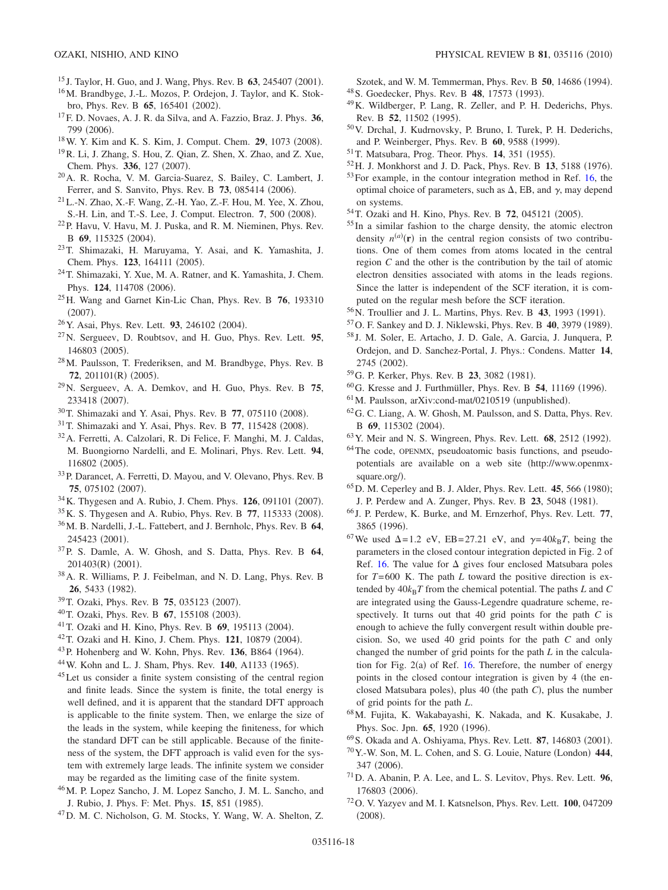- <span id="page-17-0"></span><sup>15</sup> J. Taylor, H. Guo, and J. Wang, Phys. Rev. B **63**, 245407 (2001).
- <span id="page-17-8"></span>16M. Brandbyge, J.-L. Mozos, P. Ordejon, J. Taylor, and K. Stokbro, Phys. Rev. B **65**, 165401 (2002).
- 17F. D. Novaes, A. J. R. da Silva, and A. Fazzio, Braz. J. Phys. **36**, 799 (2006).
- <sup>18</sup>W. Y. Kim and K. S. Kim, J. Comput. Chem. **29**, 1073 (2008).
- <span id="page-17-28"></span> $19R$ . Li, J. Zhang, S. Hou, Z. Qian, Z. Shen, X. Zhao, and Z. Xue, Chem. Phys. **336**, 127 (2007).
- <span id="page-17-29"></span>20A. R. Rocha, V. M. Garcia-Suarez, S. Bailey, C. Lambert, J. Ferrer, and S. Sanvito, Phys. Rev. B 73, 085414 (2006).
- <span id="page-17-20"></span>21L.-N. Zhao, X.-F. Wang, Z.-H. Yao, Z.-F. Hou, M. Yee, X. Zhou, S.-H. Lin, and T.-S. Lee, J. Comput. Electron. 7, 500 (2008).
- 22P. Havu, V. Havu, M. J. Puska, and R. M. Nieminen, Phys. Rev. B 69, 115325 (2004).
- 23T. Shimazaki, H. Maruyama, Y. Asai, and K. Yamashita, J. Chem. Phys. **123**, 164111 (2005).
- 24T. Shimazaki, Y. Xue, M. A. Ratner, and K. Yamashita, J. Chem. Phys. **124**, 114708 (2006).
- <span id="page-17-1"></span>25H. Wang and Garnet Kin-Lic Chan, Phys. Rev. B **76**, 193310  $(2007).$
- <span id="page-17-2"></span><sup>26</sup> Y. Asai, Phys. Rev. Lett. **93**, 246102 (2004).
- 27N. Sergueev, D. Roubtsov, and H. Guo, Phys. Rev. Lett. **95**, 146803 (2005).
- 28M. Paulsson, T. Frederiksen, and M. Brandbyge, Phys. Rev. B **72**, 201101(R) (2005).
- 29N. Sergueev, A. A. Demkov, and H. Guo, Phys. Rev. B **75**, 233418 (2007).
- <sup>30</sup>T. Shimazaki and Y. Asai, Phys. Rev. B **77**, 075110 (2008).
- <span id="page-17-3"></span><sup>31</sup> T. Shimazaki and Y. Asai, Phys. Rev. B 77, 115428 (2008).
- <span id="page-17-4"></span>32A. Ferretti, A. Calzolari, R. Di Felice, F. Manghi, M. J. Caldas, M. Buongiorno Nardelli, and E. Molinari, Phys. Rev. Lett. **94**, 116802 (2005).
- 33P. Darancet, A. Ferretti, D. Mayou, and V. Olevano, Phys. Rev. B **75**, 075102 (2007).
- <sup>34</sup> K. Thygesen and A. Rubio, J. Chem. Phys. **126**, 091101 (2007).
- <span id="page-17-5"></span><sup>35</sup> K. S. Thygesen and A. Rubio, Phys. Rev. B 77, 115333 (2008).
- <span id="page-17-6"></span>36M. B. Nardelli, J.-L. Fattebert, and J. Bernholc, Phys. Rev. B **64**, 245423 (2001).
- <span id="page-17-7"></span>37P. S. Damle, A. W. Ghosh, and S. Datta, Phys. Rev. B **64**, 201403(R) (2001).
- <span id="page-17-9"></span>38A. R. Williams, P. J. Feibelman, and N. D. Lang, Phys. Rev. B **26**, 5433 (1982).
- <span id="page-17-10"></span><sup>39</sup> T. Ozaki, Phys. Rev. B **75**, 035123 (2007).
- <span id="page-17-11"></span><sup>40</sup>T. Ozaki, Phys. Rev. B **67**, 155108 (2003).
- <span id="page-17-34"></span><sup>41</sup> T. Ozaki and H. Kino, Phys. Rev. B **69**, 195113 (2004).
- <span id="page-17-12"></span><sup>42</sup> T. Ozaki and H. Kino, J. Chem. Phys. **121**, 10879 (2004).
- <span id="page-17-13"></span><sup>43</sup> P. Hohenberg and W. Kohn, Phys. Rev. **136**, B864 (1964).
- <span id="page-17-41"></span><sup>44</sup> W. Kohn and L. J. Sham, Phys. Rev. **140**, A1133 (1965).
- <span id="page-17-14"></span>45Let us consider a finite system consisting of the central region and finite leads. Since the system is finite, the total energy is well defined, and it is apparent that the standard DFT approach is applicable to the finite system. Then, we enlarge the size of the leads in the system, while keeping the finiteness, for which the standard DFT can be still applicable. Because of the finiteness of the system, the DFT approach is valid even for the system with extremely large leads. The infinite system we consider may be regarded as the limiting case of the finite system.
- <span id="page-17-15"></span>46M. P. Lopez Sancho, J. M. Lopez Sancho, J. M. L. Sancho, and J. Rubio, J. Phys. F: Met. Phys. **15**, 851 (1985).
- <span id="page-17-16"></span>47D. M. C. Nicholson, G. M. Stocks, Y. Wang, W. A. Shelton, Z.

Szotek, and W. M. Temmerman, Phys. Rev. B **50**, 14686 (1994). <sup>48</sup> S. Goedecker, Phys. Rev. B **48**, 17573 (1993).

- 49K. Wildberger, P. Lang, R. Zeller, and P. H. Dederichs, Phys. Rev. B **52**, 11502 (1995).
- 50V. Drchal, J. Kudrnovsky, P. Bruno, I. Turek, P. H. Dederichs, and P. Weinberger, Phys. Rev. B 60, 9588 (1999).
- <span id="page-17-17"></span><sup>51</sup> T. Matsubara, Prog. Theor. Phys. **14**, 351 (1955).
- <span id="page-17-18"></span><sup>52</sup> H. J. Monkhorst and J. D. Pack, Phys. Rev. B **13**, 5188 (1976).
- <span id="page-17-19"></span> $53$  For example, in the contour integration method in Ref. [16,](#page-17-8) the optimal choice of parameters, such as  $\Delta$ , EB, and  $\gamma$ , may depend on systems.
- <span id="page-17-21"></span><sup>54</sup> T. Ozaki and H. Kino, Phys. Rev. B **72**, 045121 (2005).
- <span id="page-17-22"></span> $55$  In a similar fashion to the charge density, the atomic electron density  $n^{(a)}(\mathbf{r})$  in the central region consists of two contributions. One of them comes from atoms located in the central region *C* and the other is the contribution by the tail of atomic electron densities associated with atoms in the leads regions. Since the latter is independent of the SCF iteration, it is computed on the regular mesh before the SCF iteration.
- <span id="page-17-23"></span><sup>56</sup> N. Troullier and J. L. Martins, Phys. Rev. B **43**, 1993 (1991).
- <span id="page-17-24"></span><sup>57</sup> O. F. Sankey and D. J. Niklewski, Phys. Rev. B **40**, 3979 (1989).
- <span id="page-17-25"></span><sup>58</sup> J. M. Soler, E. Artacho, J. D. Gale, A. Garcia, J. Junquera, P. Ordejon, and D. Sanchez-Portal, J. Phys.: Condens. Matter **14**, 2745 (2002).
- <span id="page-17-26"></span><sup>59</sup> G. P. Kerker, Phys. Rev. B **23**, 3082 (1981).
- <span id="page-17-27"></span><sup>60</sup>G. Kresse and J. Furthmüller, Phys. Rev. B **54**, 11169 (1996).
- <span id="page-17-30"></span> $61$  M. Paulsson, arXiv:cond-mat/0210519 (unpublished).
- <span id="page-17-31"></span>62G. C. Liang, A. W. Ghosh, M. Paulsson, and S. Datta, Phys. Rev. B 69, 115302 (2004).
- <span id="page-17-32"></span><sup>63</sup> Y. Meir and N. S. Wingreen, Phys. Rev. Lett. **68**, 2512 (1992).
- <span id="page-17-33"></span>64The code, OPENMX, pseudoatomic basis functions, and pseudopotentials are available on a web site http://www.openmxsquare.org/).
- <span id="page-17-35"></span><sup>65</sup> D. M. Ceperley and B. J. Alder, Phys. Rev. Lett. **45**, 566 (1980); J. P. Perdew and A. Zunger, Phys. Rev. B 23, 5048 (1981).
- <span id="page-17-36"></span><sup>66</sup> J. P. Perdew, K. Burke, and M. Ernzerhof, Phys. Rev. Lett. **77**, 3865 (1996).
- <span id="page-17-37"></span><sup>67</sup>We used  $\Delta = 1.2$  eV, EB=27.21 eV, and  $\gamma = 40k_BT$ , being the parameters in the closed contour integration depicted in Fig. 2 of Ref. [16.](#page-17-8) The value for  $\Delta$  gives four enclosed Matsubara poles for  $T=600$  K. The path *L* toward the positive direction is extended by  $40k_BT$  from the chemical potential. The paths *L* and *C* are integrated using the Gauss-Legendre quadrature scheme, respectively. It turns out that 40 grid points for the path *C* is enough to achieve the fully convergent result within double precision. So, we used 40 grid points for the path *C* and only changed the number of grid points for the path *L* in the calculation for Fig.  $2(a)$  of Ref. [16.](#page-17-8) Therefore, the number of energy points in the closed contour integration is given by 4 (the enclosed Matsubara poles), plus 40 (the path *C*), plus the number of grid points for the path *L*.
- <span id="page-17-38"></span>68M. Fujita, K. Wakabayashi, K. Nakada, and K. Kusakabe, J. Phys. Soc. Jpn. 65, 1920 (1996).
- <span id="page-17-39"></span><sup>69</sup> S. Okada and A. Oshiyama, Phys. Rev. Lett. **87**, 146803 (2001).
- <span id="page-17-40"></span><sup>70</sup> Y.-W. Son, M. L. Cohen, and S. G. Louie, Nature (London) 444, 347 (2006).
- 71D. A. Abanin, P. A. Lee, and L. S. Levitov, Phys. Rev. Lett. **96**, 176803 (2006).
- 72O. V. Yazyev and M. I. Katsnelson, Phys. Rev. Lett. **100**, 047209  $(2008).$